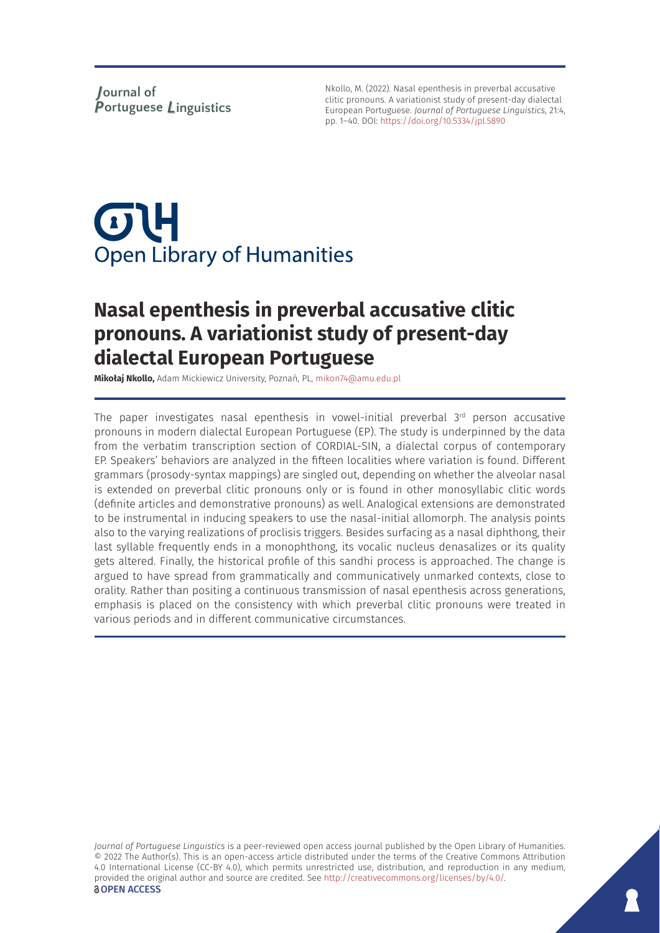Nkollo, M. (2022). Nasal epenthesis in preverbal accusative clitic pronouns. A variationist study of present-day dialectal European Portuguese. *Journal of Portuguese Linguistics*, 21:4, pp. 1–40. DOI:<https://doi.org/10.5334/jpl.5890>

# $\sigma$ U **Open Library of Humanities**

# **Nasal epenthesis in preverbal accusative clitic pronouns. A variationist study of present-day dialectal European Portuguese**

**Mikołaj Nkollo,** Adam Mickiewicz University, Poznań, PL, [mikon74@amu.edu.pl](mailto:mikon74@amu.edu.pl)

The paper investigates nasal epenthesis in vowel-initial preverbal  $3<sup>rd</sup>$  person accusative pronouns in modern dialectal European Portuguese (EP). The study is underpinned by the data from the verbatim transcription section of CORDIAL-SIN, a dialectal corpus of contemporary EP. Speakers' behaviors are analyzed in the fifteen localities where variation is found. Different grammars (prosody-syntax mappings) are singled out, depending on whether the alveolar nasal is extended on preverbal clitic pronouns only or is found in other monosyllabic clitic words (definite articles and demonstrative pronouns) as well. Analogical extensions are demonstrated to be instrumental in inducing speakers to use the nasal-initial allomorph. The analysis points also to the varying realizations of proclisis triggers. Besides surfacing as a nasal diphthong, their last syllable frequently ends in a monophthong, its vocalic nucleus denasalizes or its quality gets altered. Finally, the historical profile of this sandhi process is approached. The change is argued to have spread from grammatically and communicatively unmarked contexts, close to orality. Rather than positing a continuous transmission of nasal epenthesis across generations, emphasis is placed on the consistency with which preverbal clitic pronouns were treated in various periods and in different communicative circumstances.

*Journal of Portuguese Linguistics* is a peer-reviewed open access journal published by the Open Library of Humanities. © 2022 The Author(s). This is an open-access article distributed under the terms of the Creative Commons Attribution 4.0 International License (CC-BY 4.0), which permits unrestricted use, distribution, and reproduction in any medium, provided the original author and source are credited. See [http://creativecommons.org/licenses/by/4.0/.](http://creativecommons.org/licenses/by/4.0/) *<u>OOPEN</u>* ACCESS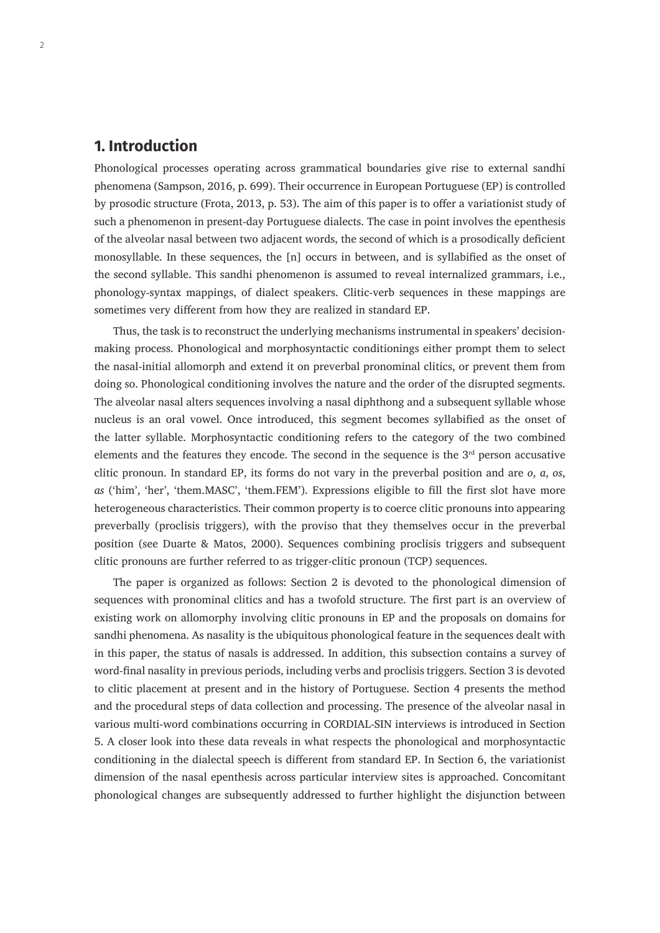# **1. Introduction**

Phonological processes operating across grammatical boundaries give rise to external sandhi phenomena (Sampson, 2016, p. 699). Their occurrence in European Portuguese (EP) is controlled by prosodic structure (Frota, 2013, p. 53). The aim of this paper is to offer a variationist study of such a phenomenon in present-day Portuguese dialects. The case in point involves the epenthesis of the alveolar nasal between two adjacent words, the second of which is a prosodically deficient monosyllable. In these sequences, the [n] occurs in between, and is syllabified as the onset of the second syllable. This sandhi phenomenon is assumed to reveal internalized grammars, i.e., phonology-syntax mappings, of dialect speakers. Clitic-verb sequences in these mappings are sometimes very different from how they are realized in standard EP.

Thus, the task is to reconstruct the underlying mechanisms instrumental in speakers' decisionmaking process. Phonological and morphosyntactic conditionings either prompt them to select the nasal-initial allomorph and extend it on preverbal pronominal clitics, or prevent them from doing so. Phonological conditioning involves the nature and the order of the disrupted segments. The alveolar nasal alters sequences involving a nasal diphthong and a subsequent syllable whose nucleus is an oral vowel. Once introduced, this segment becomes syllabified as the onset of the latter syllable. Morphosyntactic conditioning refers to the category of the two combined elements and the features they encode. The second in the sequence is the  $3<sup>rd</sup>$  person accusative clitic pronoun. In standard EP, its forms do not vary in the preverbal position and are *o*, *a*, *os*, *as* ('him', 'her', 'them.MASC', 'them.FEM'). Expressions eligible to fill the first slot have more heterogeneous characteristics. Their common property is to coerce clitic pronouns into appearing preverbally (proclisis triggers), with the proviso that they themselves occur in the preverbal position (see Duarte & Matos, 2000). Sequences combining proclisis triggers and subsequent clitic pronouns are further referred to as trigger-clitic pronoun (TCP) sequences.

The paper is organized as follows: Section 2 is devoted to the phonological dimension of sequences with pronominal clitics and has a twofold structure. The first part is an overview of existing work on allomorphy involving clitic pronouns in EP and the proposals on domains for sandhi phenomena. As nasality is the ubiquitous phonological feature in the sequences dealt with in this paper, the status of nasals is addressed. In addition, this subsection contains a survey of word-final nasality in previous periods, including verbs and proclisis triggers. Section 3 is devoted to clitic placement at present and in the history of Portuguese. Section 4 presents the method and the procedural steps of data collection and processing. The presence of the alveolar nasal in various multi-word combinations occurring in CORDIAL-SIN interviews is introduced in Section 5. A closer look into these data reveals in what respects the phonological and morphosyntactic conditioning in the dialectal speech is different from standard EP. In Section 6, the variationist dimension of the nasal epenthesis across particular interview sites is approached. Concomitant phonological changes are subsequently addressed to further highlight the disjunction between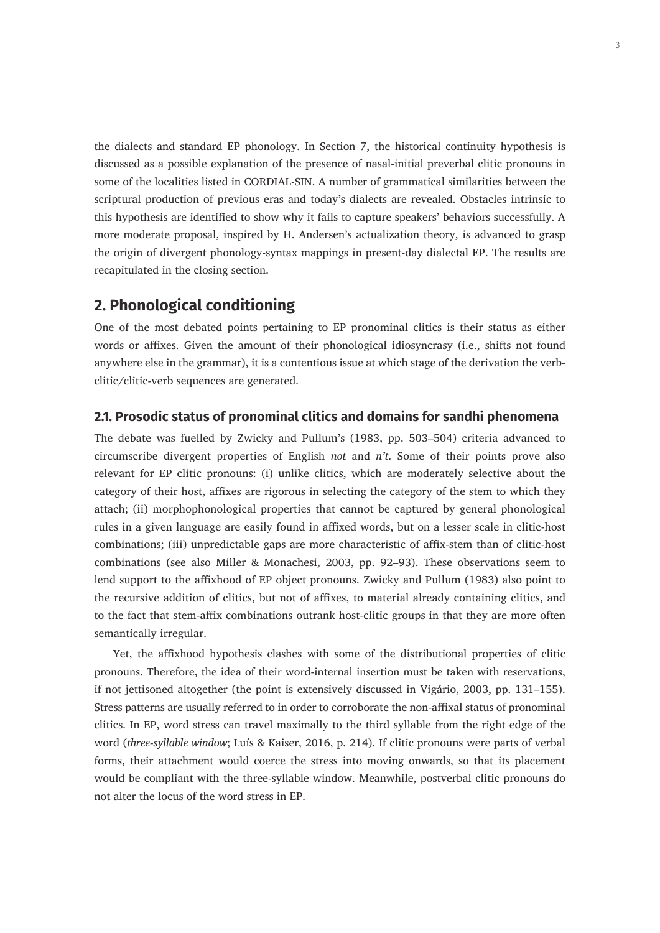the dialects and standard EP phonology. In Section 7, the historical continuity hypothesis is discussed as a possible explanation of the presence of nasal-initial preverbal clitic pronouns in some of the localities listed in CORDIAL-SIN. A number of grammatical similarities between the scriptural production of previous eras and today's dialects are revealed. Obstacles intrinsic to this hypothesis are identified to show why it fails to capture speakers' behaviors successfully. A more moderate proposal, inspired by H. Andersen's actualization theory, is advanced to grasp the origin of divergent phonology-syntax mappings in present-day dialectal EP. The results are recapitulated in the closing section.

## **2. Phonological conditioning**

One of the most debated points pertaining to EP pronominal clitics is their status as either words or affixes. Given the amount of their phonological idiosyncrasy (i.e., shifts not found anywhere else in the grammar), it is a contentious issue at which stage of the derivation the verbclitic/clitic-verb sequences are generated.

#### **2.1. Prosodic status of pronominal clitics and domains for sandhi phenomena**

The debate was fuelled by Zwicky and Pullum's (1983, pp. 503–504) criteria advanced to circumscribe divergent properties of English *not* and *n't*. Some of their points prove also relevant for EP clitic pronouns: (i) unlike clitics, which are moderately selective about the category of their host, affixes are rigorous in selecting the category of the stem to which they attach; (ii) morphophonological properties that cannot be captured by general phonological rules in a given language are easily found in affixed words, but on a lesser scale in clitic-host combinations; (iii) unpredictable gaps are more characteristic of affix-stem than of clitic-host combinations (see also Miller & Monachesi, 2003, pp. 92–93). These observations seem to lend support to the affixhood of EP object pronouns. Zwicky and Pullum (1983) also point to the recursive addition of clitics, but not of affixes, to material already containing clitics, and to the fact that stem-affix combinations outrank host-clitic groups in that they are more often semantically irregular.

Yet, the affixhood hypothesis clashes with some of the distributional properties of clitic pronouns. Therefore, the idea of their word-internal insertion must be taken with reservations, if not jettisoned altogether (the point is extensively discussed in Vigário, 2003, pp. 131–155). Stress patterns are usually referred to in order to corroborate the non-affixal status of pronominal clitics. In EP, word stress can travel maximally to the third syllable from the right edge of the word (*three-syllable window*; Luís & Kaiser, 2016, p. 214). If clitic pronouns were parts of verbal forms, their attachment would coerce the stress into moving onwards, so that its placement would be compliant with the three-syllable window. Meanwhile, postverbal clitic pronouns do not alter the locus of the word stress in EP.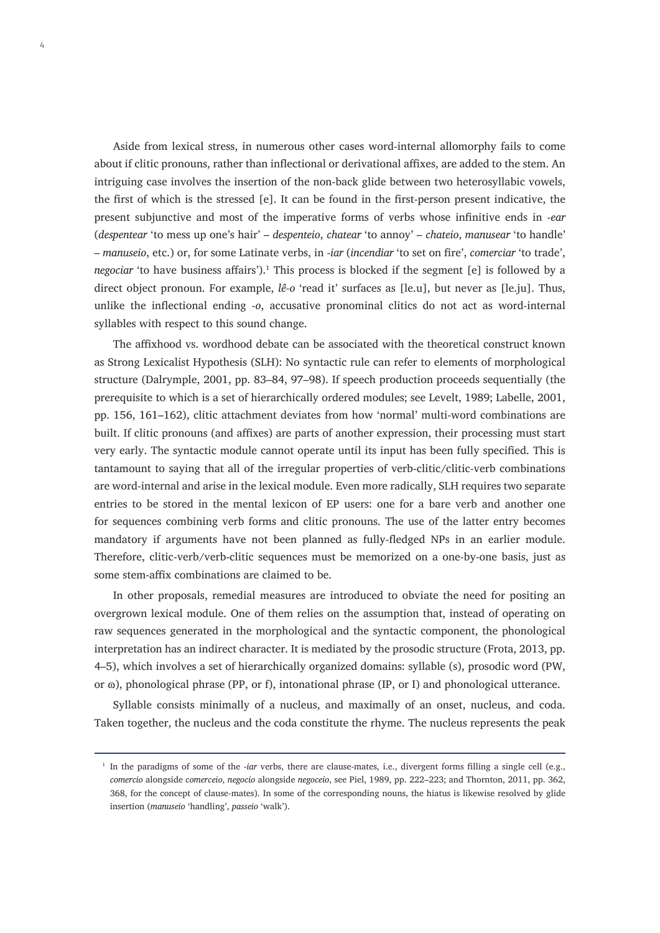Aside from lexical stress, in numerous other cases word-internal allomorphy fails to come about if clitic pronouns, rather than inflectional or derivational affixes, are added to the stem. An intriguing case involves the insertion of the non-back glide between two heterosyllabic vowels, the first of which is the stressed [e]. It can be found in the first-person present indicative, the present subjunctive and most of the imperative forms of verbs whose infinitive ends in -*ear* (*despentear* 'to mess up one's hair' – *despenteio*, *chatear* 'to annoy' – *chateio*, *manusear* 'to handle' – *manuseio*, etc.) or, for some Latinate verbs, in -*iar* (*incendiar* 'to set on fire', *comerciar* 'to trade', negociar 'to have business affairs').<sup>1</sup> This process is blocked if the segment [e] is followed by a direct object pronoun. For example, *lê-o* 'read it' surfaces as [le.u], but never as [le.ju]. Thus, unlike the inflectional ending -*o*, accusative pronominal clitics do not act as word-internal syllables with respect to this sound change.

The affixhood vs. wordhood debate can be associated with the theoretical construct known as Strong Lexicalist Hypothesis (SLH): No syntactic rule can refer to elements of morphological structure (Dalrymple, 2001, pp. 83–84, 97–98). If speech production proceeds sequentially (the prerequisite to which is a set of hierarchically ordered modules; see Levelt, 1989; Labelle, 2001, pp. 156, 161–162), clitic attachment deviates from how 'normal' multi-word combinations are built. If clitic pronouns (and affixes) are parts of another expression, their processing must start very early. The syntactic module cannot operate until its input has been fully specified. This is tantamount to saying that all of the irregular properties of verb-clitic/clitic-verb combinations are word-internal and arise in the lexical module. Even more radically, SLH requires two separate entries to be stored in the mental lexicon of EP users: one for a bare verb and another one for sequences combining verb forms and clitic pronouns. The use of the latter entry becomes mandatory if arguments have not been planned as fully-fledged NPs in an earlier module. Therefore, clitic-verb/verb-clitic sequences must be memorized on a one-by-one basis, just as some stem-affix combinations are claimed to be.

In other proposals, remedial measures are introduced to obviate the need for positing an overgrown lexical module. One of them relies on the assumption that, instead of operating on raw sequences generated in the morphological and the syntactic component, the phonological interpretation has an indirect character. It is mediated by the prosodic structure (Frota, 2013, pp. 4–5), which involves a set of hierarchically organized domains: syllable (s), prosodic word (PW, or  $\omega$ ), phonological phrase (PP, or f), intonational phrase (IP, or I) and phonological utterance.

Syllable consists minimally of a nucleus, and maximally of an onset, nucleus, and coda. Taken together, the nucleus and the coda constitute the rhyme. The nucleus represents the peak

<sup>&</sup>lt;sup>1</sup> In the paradigms of some of the *-iar* verbs, there are clause-mates, i.e., divergent forms filling a single cell (e.g., *comercio* alongside *comerceio*, *negocio* alongside *negoceio*, see Piel, 1989, pp. 222–223; and Thornton, 2011, pp. 362, 368, for the concept of clause-mates). In some of the corresponding nouns, the hiatus is likewise resolved by glide insertion (*manuseio* 'handling', *passeio* 'walk').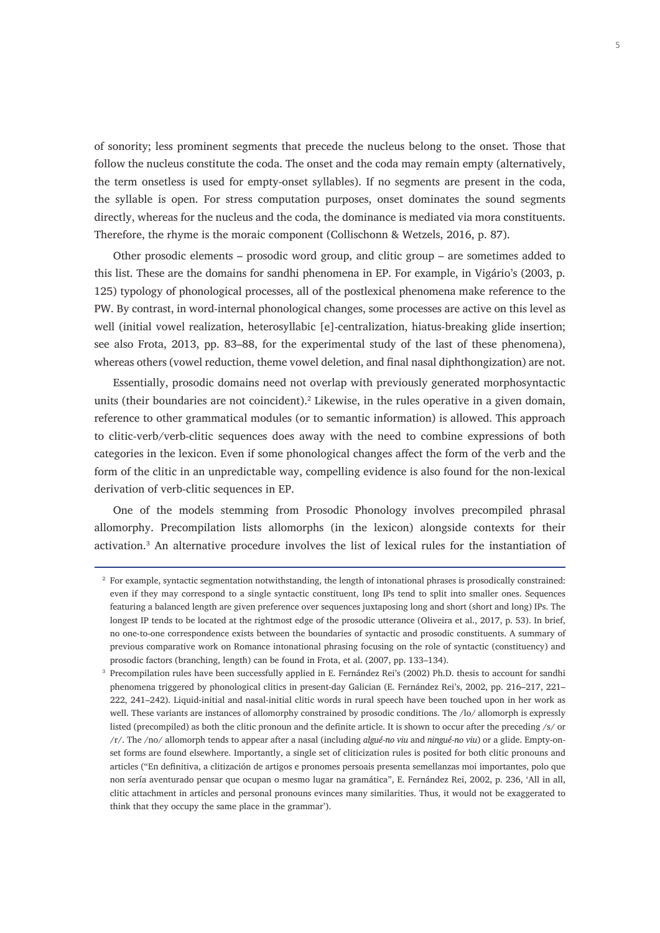of sonority; less prominent segments that precede the nucleus belong to the onset. Those that follow the nucleus constitute the coda. The onset and the coda may remain empty (alternatively, the term onsetless is used for empty-onset syllables). If no segments are present in the coda, the syllable is open. For stress computation purposes, onset dominates the sound segments directly, whereas for the nucleus and the coda, the dominance is mediated via mora constituents. Therefore, the rhyme is the moraic component (Collischonn & Wetzels, 2016, p. 87).

Other prosodic elements – prosodic word group, and clitic group – are sometimes added to this list. These are the domains for sandhi phenomena in EP. For example, in Vigário's (2003, p. 125) typology of phonological processes, all of the postlexical phenomena make reference to the PW. By contrast, in word-internal phonological changes, some processes are active on this level as well (initial vowel realization, heterosyllabic [e]-centralization, hiatus-breaking glide insertion; see also Frota, 2013, pp. 83–88, for the experimental study of the last of these phenomena), whereas others (vowel reduction, theme vowel deletion, and final nasal diphthongization) are not.

Essentially, prosodic domains need not overlap with previously generated morphosyntactic units (their boundaries are not coincident). $\lambda^2$  Likewise, in the rules operative in a given domain, reference to other grammatical modules (or to semantic information) is allowed. This approach to clitic-verb/verb-clitic sequences does away with the need to combine expressions of both categories in the lexicon. Even if some phonological changes affect the form of the verb and the form of the clitic in an unpredictable way, compelling evidence is also found for the non-lexical derivation of verb-clitic sequences in EP.

One of the models stemming from Prosodic Phonology involves precompiled phrasal allomorphy. Precompilation lists allomorphs (in the lexicon) alongside contexts for their activation.3 An alternative procedure involves the list of lexical rules for the instantiation of

<sup>&</sup>lt;sup>2</sup> For example, syntactic segmentation notwithstanding, the length of intonational phrases is prosodically constrained: even if they may correspond to a single syntactic constituent, long IPs tend to split into smaller ones. Sequences featuring a balanced length are given preference over sequences juxtaposing long and short (short and long) IPs. The longest IP tends to be located at the rightmost edge of the prosodic utterance (Oliveira et al., 2017, p. 53). In brief, no one-to-one correspondence exists between the boundaries of syntactic and prosodic constituents. A summary of previous comparative work on Romance intonational phrasing focusing on the role of syntactic (constituency) and prosodic factors (branching, length) can be found in Frota, et al. (2007, pp. 133–134).

<sup>3</sup> Precompilation rules have been successfully applied in E. Fernández Rei's (2002) Ph.D. thesis to account for sandhi phenomena triggered by phonological clitics in present-day Galician (E. Fernández Rei's, 2002, pp. 216–217, 221– 222, 241–242). Liquid-initial and nasal-initial clitic words in rural speech have been touched upon in her work as well. These variants are instances of allomorphy constrained by prosodic conditions. The /lo/ allomorph is expressly listed (precompiled) as both the clitic pronoun and the definite article. It is shown to occur after the preceding /s/ or /r/. The /no/ allomorph tends to appear after a nasal (including *algué-no viu* and *ningué-no viu*) or a glide. Empty-onset forms are found elsewhere. Importantly, a single set of cliticization rules is posited for both clitic pronouns and articles ("En definitiva, a clitización de artigos e pronomes persoais presenta semellanzas moi importantes, polo que non sería aventurado pensar que ocupan o mesmo lugar na gramática", E. Fernández Rei, 2002, p. 236, 'All in all, clitic attachment in articles and personal pronouns evinces many similarities. Thus, it would not be exaggerated to think that they occupy the same place in the grammar').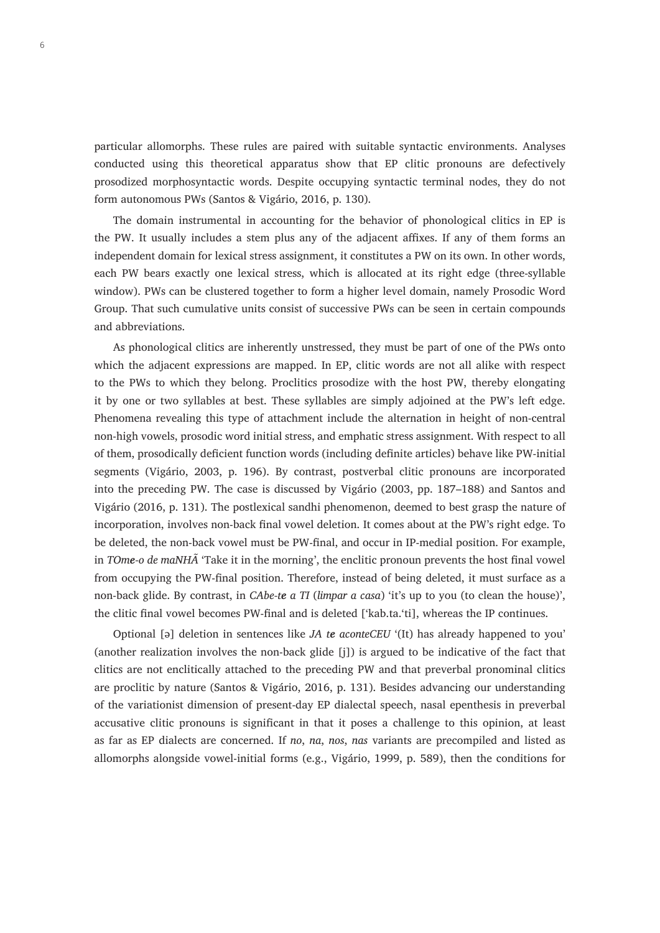particular allomorphs. These rules are paired with suitable syntactic environments. Analyses conducted using this theoretical apparatus show that EP clitic pronouns are defectively prosodized morphosyntactic words. Despite occupying syntactic terminal nodes, they do not form autonomous PWs (Santos & Vigário, 2016, p. 130).

The domain instrumental in accounting for the behavior of phonological clitics in EP is the PW. It usually includes a stem plus any of the adjacent affixes. If any of them forms an independent domain for lexical stress assignment, it constitutes a PW on its own. In other words, each PW bears exactly one lexical stress, which is allocated at its right edge (three-syllable window). PWs can be clustered together to form a higher level domain, namely Prosodic Word Group. That such cumulative units consist of successive PWs can be seen in certain compounds and abbreviations.

As phonological clitics are inherently unstressed, they must be part of one of the PWs onto which the adjacent expressions are mapped. In EP, clitic words are not all alike with respect to the PWs to which they belong. Proclitics prosodize with the host PW, thereby elongating it by one or two syllables at best. These syllables are simply adjoined at the PW's left edge. Phenomena revealing this type of attachment include the alternation in height of non-central non-high vowels, prosodic word initial stress, and emphatic stress assignment. With respect to all of them, prosodically deficient function words (including definite articles) behave like PW-initial segments (Vigário, 2003, p. 196). By contrast, postverbal clitic pronouns are incorporated into the preceding PW. The case is discussed by Vigário (2003, pp. 187–188) and Santos and Vigário (2016, p. 131). The postlexical sandhi phenomenon, deemed to best grasp the nature of incorporation, involves non-back final vowel deletion. It comes about at the PW's right edge. To be deleted, the non‐back vowel must be PW‐final, and occur in IP-medial position. For example, in *TOme-o de maNHÃ* 'Take it in the morning', the enclitic pronoun prevents the host final vowel from occupying the PW-final position. Therefore, instead of being deleted, it must surface as a non-back glide. By contrast, in *CAbe-te a TI* (*limpar a casa*) 'it's up to you (to clean the house)', the clitic final vowel becomes PW-final and is deleted ['kab.ta.'ti], whereas the IP continues.

Optional [ǝ] deletion in sentences like *JA te aconteCEU* '(It) has already happened to you' (another realization involves the non-back glide [j]) is argued to be indicative of the fact that clitics are not enclitically attached to the preceding PW and that preverbal pronominal clitics are proclitic by nature (Santos & Vigário, 2016, p. 131). Besides advancing our understanding of the variationist dimension of present-day EP dialectal speech, nasal epenthesis in preverbal accusative clitic pronouns is significant in that it poses a challenge to this opinion, at least as far as EP dialects are concerned. If *no*, *na*, *nos*, *nas* variants are precompiled and listed as allomorphs alongside vowel-initial forms (e.g., Vigário, 1999, p. 589), then the conditions for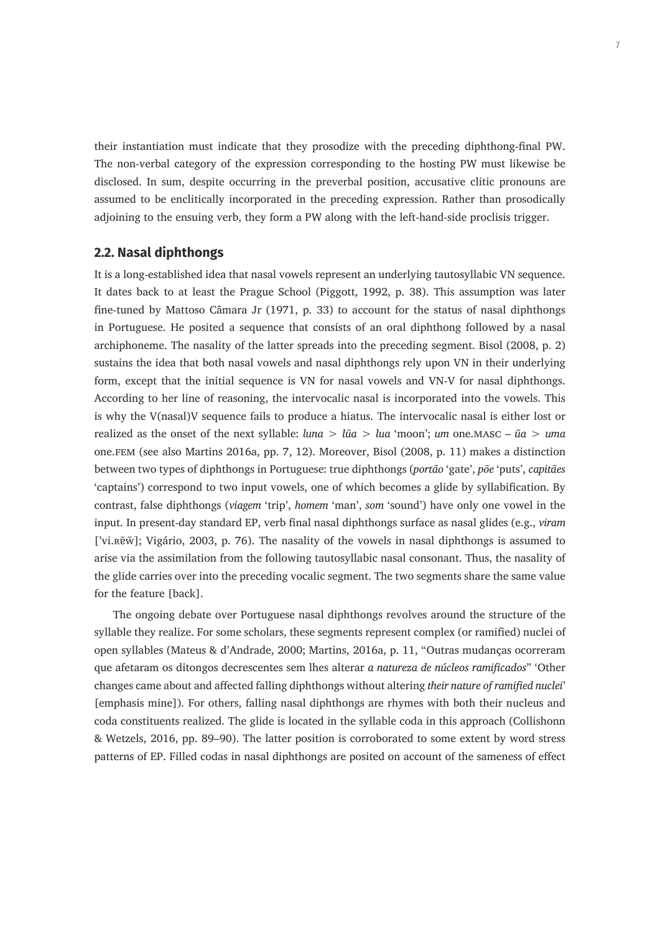their instantiation must indicate that they prosodize with the preceding diphthong-final PW. The non-verbal category of the expression corresponding to the hosting PW must likewise be disclosed. In sum, despite occurring in the preverbal position, accusative clitic pronouns are assumed to be enclitically incorporated in the preceding expression. Rather than prosodically adjoining to the ensuing verb, they form a PW along with the left-hand-side proclisis trigger.

#### **2.2. Nasal diphthongs**

It is a long-established idea that nasal vowels represent an underlying tautosyllabic VN sequence. It dates back to at least the Prague School (Piggott, 1992, p. 38). This assumption was later fine-tuned by Mattoso Câmara Jr (1971, p. 33) to account for the status of nasal diphthongs in Portuguese. He posited a sequence that consists of an oral diphthong followed by a nasal archiphoneme. The nasality of the latter spreads into the preceding segment. Bisol (2008, p. 2) sustains the idea that both nasal vowels and nasal diphthongs rely upon VN in their underlying form, except that the initial sequence is VN for nasal vowels and VN-V for nasal diphthongs. According to her line of reasoning, the intervocalic nasal is incorporated into the vowels. This is why the V(nasal)V sequence fails to produce a hiatus. The intervocalic nasal is either lost or realized as the onset of the next syllable: *luna* > *lũa* > *lua* 'moon'; *um* one.masc – *ũa* > *uma*  one.fem (see also Martins 2016a, pp. 7, 12). Moreover, Bisol (2008, p. 11) makes a distinction between two types of diphthongs in Portuguese: true diphthongs (*portão* 'gate', *põe* 'puts', *capitães* 'captains') correspond to two input vowels, one of which becomes a glide by syllabification. By contrast, false diphthongs (*viagem* 'trip', *homem* 'man', *som* 'sound') have only one vowel in the input. In present-day standard EP, verb final nasal diphthongs surface as nasal glides (e.g., *viram* ['vi.ʀɐ̃w̃]; Vigário, 2003, p. 76). The nasality of the vowels in nasal diphthongs is assumed to arise via the assimilation from the following tautosyllabic nasal consonant. Thus, the nasality of the glide carries over into the preceding vocalic segment. The two segments share the same value for the feature [back].

The ongoing debate over Portuguese nasal diphthongs revolves around the structure of the syllable they realize. For some scholars, these segments represent complex (or ramified) nuclei of open syllables (Mateus & d'Andrade, 2000; Martins, 2016a, p. 11, "Outras mudanças ocorreram que afetaram os ditongos decrescentes sem lhes alterar *a natureza de núcleos ramificados*" 'Other changes came about and affected falling diphthongs without altering *their nature of ramified nuclei*' [emphasis mine]). For others, falling nasal diphthongs are rhymes with both their nucleus and coda constituents realized. The glide is located in the syllable coda in this approach (Collishonn & Wetzels, 2016, pp. 89–90). The latter position is corroborated to some extent by word stress patterns of EP. Filled codas in nasal diphthongs are posited on account of the sameness of effect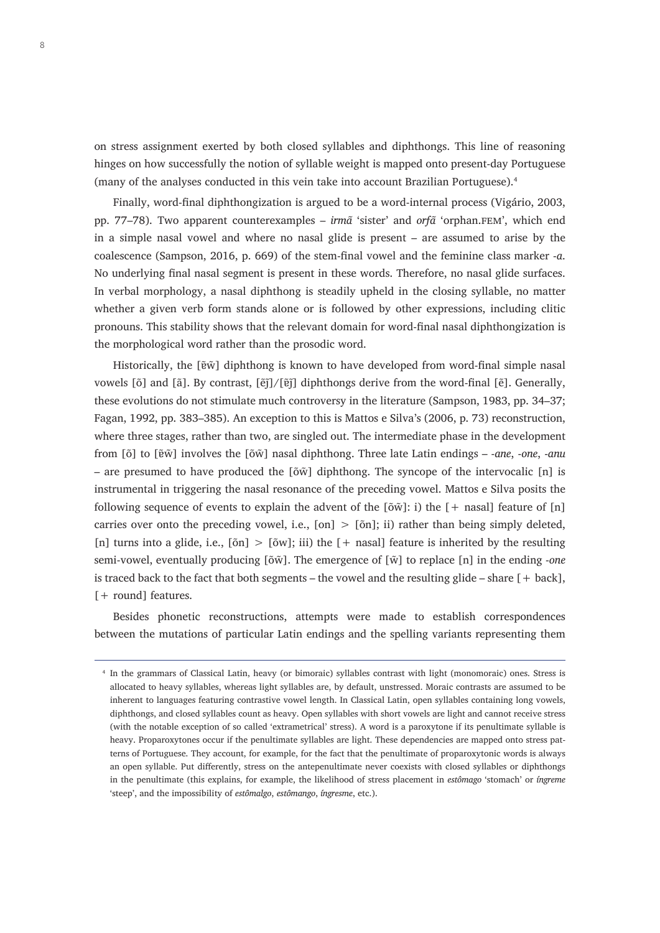on stress assignment exerted by both closed syllables and diphthongs. This line of reasoning hinges on how successfully the notion of syllable weight is mapped onto present-day Portuguese (many of the analyses conducted in this vein take into account Brazilian Portuguese).4

Finally, word-final diphthongization is argued to be a word-internal process (Vigário, 2003, pp. 77–78). Two apparent counterexamples – *irmã* 'sister' and *orfã* 'orphan.fem', which end in a simple nasal vowel and where no nasal glide is present – are assumed to arise by the coalescence (Sampson, 2016, p. 669) of the stem-final vowel and the feminine class marker -*a*. No underlying final nasal segment is present in these words. Therefore, no nasal glide surfaces. In verbal morphology, a nasal diphthong is steadily upheld in the closing syllable, no matter whether a given verb form stands alone or is followed by other expressions, including clitic pronouns. This stability shows that the relevant domain for word-final nasal diphthongization is the morphological word rather than the prosodic word.

Historically, the [ɐ̃w̃] diphthong is known to have developed from word-final simple nasal vowels [õ] and [ã]. By contrast, [ẽj̃]/[ɐ̃j̃] diphthongs derive from the word-final [ẽ]. Generally, these evolutions do not stimulate much controversy in the literature (Sampson, 1983, pp. 34–37; Fagan, 1992, pp. 383–385). An exception to this is Mattos e Silva's (2006, p. 73) reconstruction, where three stages, rather than two, are singled out. The intermediate phase in the development from [õ] to [ɐ̃w̃] involves the [õw̃] nasal diphthong. Three late Latin endings – -*ane*, -*one*, -*anu*  – are presumed to have produced the [õw̃] diphthong. The syncope of the intervocalic [n] is instrumental in triggering the nasal resonance of the preceding vowel. Mattos e Silva posits the following sequence of events to explain the advent of the  $\left[\tilde{\sigma} \tilde{w}\right]$ : i) the  $[+$  nasal] feature of  $\left[\tilde{n}\right]$ carries over onto the preceding vowel, i.e.,  $[on] > [on]$ ; ii) rather than being simply deleted, [n] turns into a glide, i.e.,  $[\delta n] > [\delta w]$ ; iii) the  $[+$  nasal] feature is inherited by the resulting semi-vowel, eventually producing [õw̃]. The emergence of [w̃] to replace [n] in the ending -*one* is traced back to the fact that both segments – the vowel and the resulting glide – share  $[+$  back], [+ round] features.

Besides phonetic reconstructions, attempts were made to establish correspondences between the mutations of particular Latin endings and the spelling variants representing them

<sup>4</sup> In the grammars of Classical Latin, heavy (or bimoraic) syllables contrast with light (monomoraic) ones. Stress is allocated to heavy syllables, whereas light syllables are, by default, unstressed. Moraic contrasts are assumed to be inherent to languages featuring contrastive vowel length. In Classical Latin, open syllables containing long vowels, diphthongs, and closed syllables count as heavy. Open syllables with short vowels are light and cannot receive stress (with the notable exception of so called 'extrametrical' stress). A word is a paroxytone if its penultimate syllable is heavy. Proparoxytones occur if the penultimate syllables are light. These dependencies are mapped onto stress patterns of Portuguese. They account, for example, for the fact that the penultimate of proparoxytonic words is always an open syllable. Put differently, stress on the antepenultimate never coexists with closed syllables or diphthongs in the penultimate (this explains, for example, the likelihood of stress placement in *estômago* 'stomach' or *íngreme* 'steep', and the impossibility of *estômalgo*, *estômango*, *íngresme*, etc.).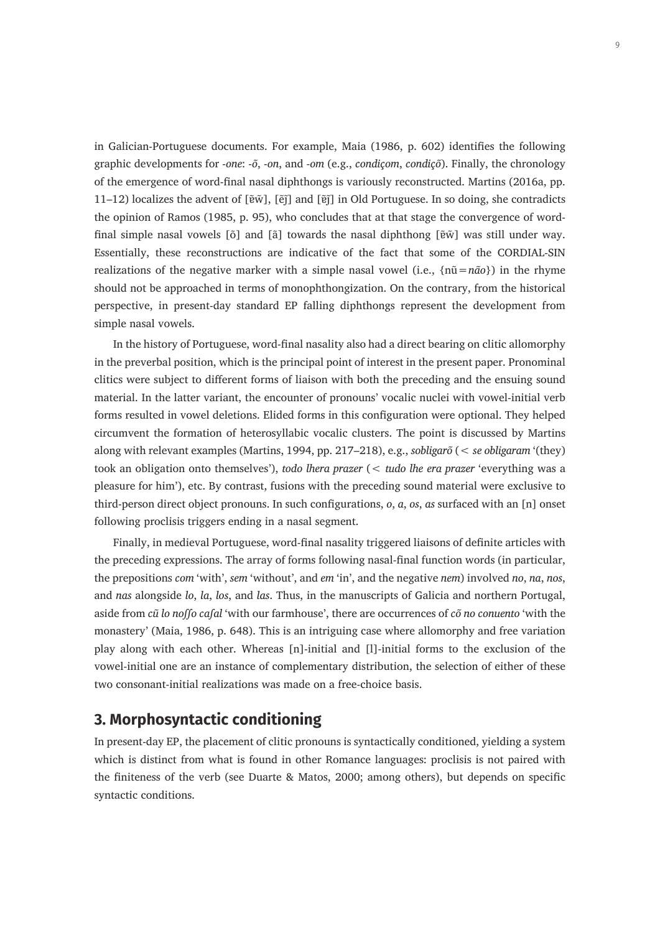in Galician-Portuguese documents. For example, Maia (1986, p. 602) identifies the following graphic developments for -*one*: -*õ*, -*on*, and -*om* (e.g., *condiçom*, *condiçõ*). Finally, the chronology of the emergence of word-final nasal diphthongs is variously reconstructed. Martins (2016a, pp. 11–12) localizes the advent of [ɐ̃w̃], [ẽj̃] and [ɐ̃j̃] in Old Portuguese. In so doing, she contradicts the opinion of Ramos (1985, p. 95), who concludes that at that stage the convergence of wordfinal simple nasal vowels [õ] and [ã] towards the nasal diphthong [ɐ̃w̃] was still under way. Essentially, these reconstructions are indicative of the fact that some of the CORDIAL-SIN realizations of the negative marker with a simple nasal vowel (i.e., {nũ=*não*}) in the rhyme should not be approached in terms of monophthongization. On the contrary, from the historical perspective, in present-day standard EP falling diphthongs represent the development from simple nasal vowels.

In the history of Portuguese, word-final nasality also had a direct bearing on clitic allomorphy in the preverbal position, which is the principal point of interest in the present paper. Pronominal clitics were subject to different forms of liaison with both the preceding and the ensuing sound material. In the latter variant, the encounter of pronouns' vocalic nuclei with vowel-initial verb forms resulted in vowel deletions. Elided forms in this configuration were optional. They helped circumvent the formation of heterosyllabic vocalic clusters. The point is discussed by Martins along with relevant examples (Martins, 1994, pp. 217–218), e.g., *sobligarõ* (< *se obligaram* '(they) took an obligation onto themselves'), *todo lhera prazer* (< *tudo lhe era prazer* 'everything was a pleasure for him'), etc. By contrast, fusions with the preceding sound material were exclusive to third-person direct object pronouns. In such configurations, *o*, *a*, *os*, *as* surfaced with an [n] onset following proclisis triggers ending in a nasal segment.

Finally, in medieval Portuguese, word-final nasality triggered liaisons of definite articles with the preceding expressions. The array of forms following nasal-final function words (in particular, the prepositions *com* 'with', *sem* 'without', and *em* 'in', and the negative *nem*) involved *no*, *na*, *nos*, and *nas* alongside *lo*, *la*, *los*, and *las*. Thus, in the manuscripts of Galicia and northern Portugal, aside from *cũ lo noſſo caſal* 'with our farmhouse', there are occurrences of *cõ no conuento* 'with the monastery' (Maia, 1986, p. 648). This is an intriguing case where allomorphy and free variation play along with each other. Whereas [n]-initial and [l]-initial forms to the exclusion of the vowel-initial one are an instance of complementary distribution, the selection of either of these two consonant-initial realizations was made on a free-choice basis.

# **3. Morphosyntactic conditioning**

In present-day EP, the placement of clitic pronouns is syntactically conditioned, yielding a system which is distinct from what is found in other Romance languages: proclisis is not paired with the finiteness of the verb (see Duarte & Matos, 2000; among others), but depends on specific syntactic conditions.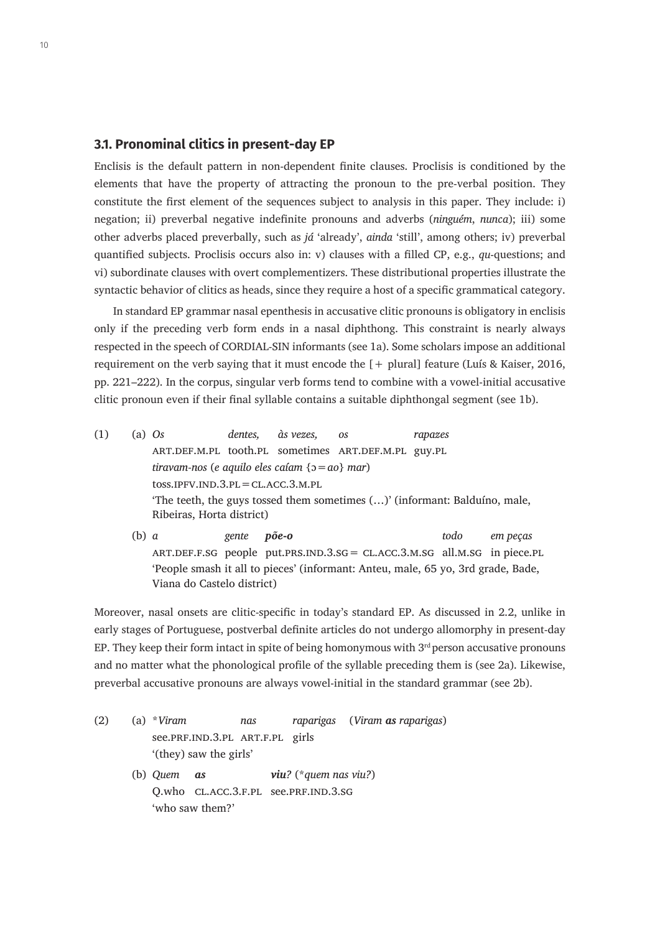#### **3.1. Pronominal clitics in present-day EP**

Enclisis is the default pattern in non-dependent finite clauses. Proclisis is conditioned by the elements that have the property of attracting the pronoun to the pre-verbal position. They constitute the first element of the sequences subject to analysis in this paper. They include: i) negation; ii) preverbal negative indefinite pronouns and adverbs (*ninguém*, *nunca*); iii) some other adverbs placed preverbally, such as *já* 'already', *ainda* 'still', among others; iv) preverbal quantified subjects. Proclisis occurs also in: v) clauses with a filled CP, e.g., *qu*-questions; and vi) subordinate clauses with overt complementizers. These distributional properties illustrate the syntactic behavior of clitics as heads, since they require a host of a specific grammatical category.

In standard EP grammar nasal epenthesis in accusative clitic pronouns is obligatory in enclisis only if the preceding verb form ends in a nasal diphthong. This constraint is nearly always respected in the speech of CORDIAL-SIN informants (see 1a). Some scholars impose an additional requirement on the verb saying that it must encode the [+ plural] feature (Luís & Kaiser, 2016, pp. 221–222). In the corpus, singular verb forms tend to combine with a vowel-initial accusative clitic pronoun even if their final syllable contains a suitable diphthongal segment (see 1b).

- (1) (a) *Os dentes, às vezes, os rapazes* art.def.m.pl tooth.pl sometimes art.def.m.pl guy.pl *tiravam-nos* (*e aquilo eles caíam* {ɔ=*ao*} *mar*) toss.ipfv.ind.3.pl=cl.acc.3.m.pl 'The teeth, the guys tossed them sometimes (…)' (informant: Balduíno, male, Ribeiras, Horta district)
	- (b) *a gente põe-o todo em peças* art.def.f.sg people put.prs.ind.3.sg= cl.acc.3.m.sg all.m.sg in piece.pl 'People smash it all to pieces' (informant: Anteu, male, 65 yo, 3rd grade, Bade, Viana do Castelo district)

Moreover, nasal onsets are clitic-specific in today's standard EP. As discussed in 2.2, unlike in early stages of Portuguese, postverbal definite articles do not undergo allomorphy in present-day EP. They keep their form intact in spite of being homonymous with  $3<sup>rd</sup>$  person accusative pronouns and no matter what the phonological profile of the syllable preceding them is (see 2a). Likewise, preverbal accusative pronouns are always vowel-initial in the standard grammar (see 2b).

(2) (a) \**Viram nas raparigas* (*Viram as raparigas*) see.prf.ind.3.pl art.f.pl girls '(they) saw the girls' (b) *Quem as viu?* (\**quem nas viu?*) Q.who CL.ACC.3.F.PL see.PRF.IND.3.SG 'who saw them?'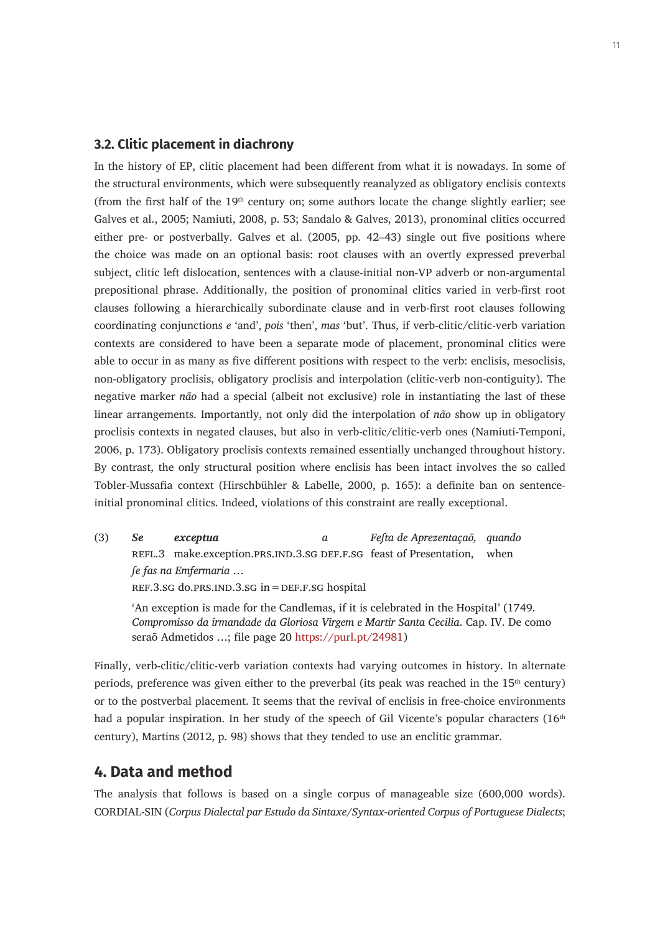#### **3.2. Clitic placement in diachrony**

In the history of EP, clitic placement had been different from what it is nowadays. In some of the structural environments, which were subsequently reanalyzed as obligatory enclisis contexts (from the first half of the  $19<sup>th</sup>$  century on; some authors locate the change slightly earlier; see Galves et al., 2005; Namiuti, 2008, p. 53; Sandalo & Galves, 2013), pronominal clitics occurred either pre- or postverbally. Galves et al. (2005, pp. 42–43) single out five positions where the choice was made on an optional basis: root clauses with an overtly expressed preverbal subject, clitic left dislocation, sentences with a clause-initial non-VP adverb or non-argumental prepositional phrase. Additionally, the position of pronominal clitics varied in verb-first root clauses following a hierarchically subordinate clause and in verb-first root clauses following coordinating conjunctions *e* 'and', *pois* 'then', *mas* 'but'. Thus, if verb-clitic/clitic-verb variation contexts are considered to have been a separate mode of placement, pronominal clitics were able to occur in as many as five different positions with respect to the verb: enclisis, mesoclisis, non-obligatory proclisis, obligatory proclisis and interpolation (clitic-verb non-contiguity). The negative marker *não* had a special (albeit not exclusive) role in instantiating the last of these linear arrangements. Importantly, not only did the interpolation of *não* show up in obligatory proclisis contexts in negated clauses, but also in verb-clitic/clitic-verb ones (Namiuti-Temponi, 2006, p. 173). Obligatory proclisis contexts remained essentially unchanged throughout history. By contrast, the only structural position where enclisis has been intact involves the so called Tobler-Mussafia context (Hirschbühler & Labelle, 2000, p. 165): a definite ban on sentenceinitial pronominal clitics. Indeed, violations of this constraint are really exceptional.

(3) *Se exceptua a Feſta de Aprezentaçaõ, quando* REFL.3 make.exception.PRS.IND.3.SG DEF.F.SG feast of Presentation, when *ſe fas na Emfermaria* … ref.3.sg do.prs.ind.3.sg in=def.f.sg hospital

'An exception is made for the Candlemas, if it is celebrated in the Hospital' (1749. *Compromisso da irmandade da Gloriosa Virgem e Martir Santa Cecilia*. Cap. IV. De como seraõ Admetidos …; file page 20 [https://purl.pt/24981\)](https://purl.pt/24981)

Finally, verb-clitic/clitic-verb variation contexts had varying outcomes in history. In alternate periods, preference was given either to the preverbal (its peak was reached in the  $15<sup>th</sup>$  century) or to the postverbal placement. It seems that the revival of enclisis in free-choice environments had a popular inspiration. In her study of the speech of Gil Vicente's popular characters  $(16<sup>th</sup>$ century), Martins (2012, p. 98) shows that they tended to use an enclitic grammar.

#### **4. Data and method**

The analysis that follows is based on a single corpus of manageable size (600,000 words). CORDIAL-SIN (*Corpus Dialectal par Estudo da Sintaxe*/*Syntax-oriented Corpus of Portuguese Dialects*;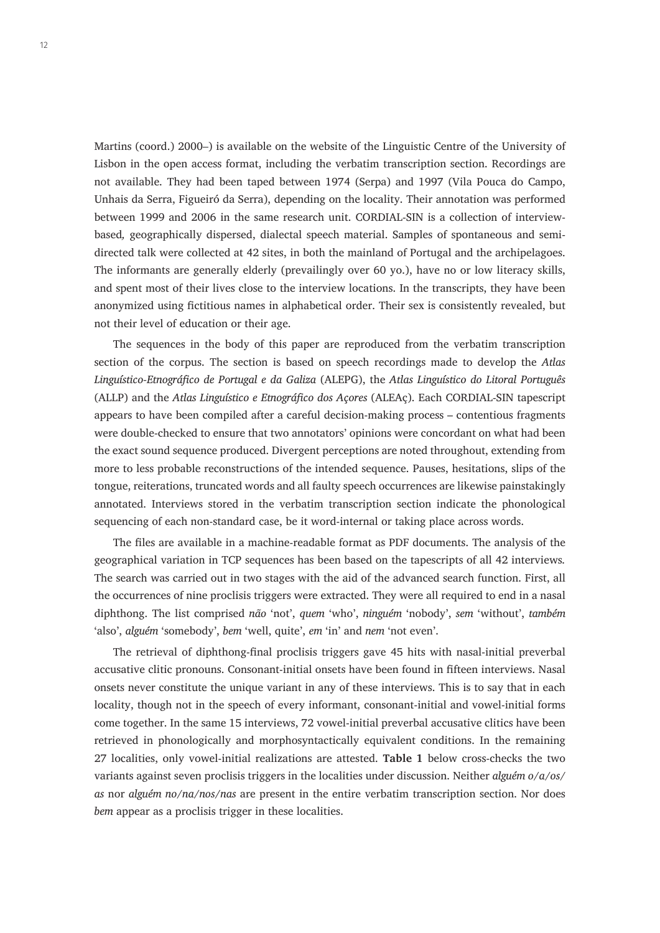Martins (coord.) 2000*–*) is available on the website of the Linguistic Centre of the University of Lisbon in the open access format, including the verbatim transcription section. Recordings are not available. They had been taped between 1974 (Serpa) and 1997 (Vila Pouca do Campo, Unhais da Serra, Figueiró da Serra), depending on the locality. Their annotation was performed between 1999 and 2006 in the same research unit. CORDIAL-SIN is a collection of interviewbased*,* geographically dispersed, dialectal speech material. Samples of spontaneous and semidirected talk were collected at 42 sites, in both the mainland of Portugal and the archipelagoes. The informants are generally elderly (prevailingly over 60 yo.), have no or low literacy skills, and spent most of their lives close to the interview locations. In the transcripts, they have been anonymized using fictitious names in alphabetical order. Their sex is consistently revealed, but not their level of education or their age.

The sequences in the body of this paper are reproduced from the verbatim transcription section of the corpus. The section is based on speech recordings made to develop the *Atlas Linguístico-Etnográfico de Portugal e da Galiza* (ALEPG), the *Atlas Linguístico do Litoral Português* (ALLP) and the *Atlas Linguístico e Etnográfico dos Açores* (ALEAç). Each CORDIAL-SIN tapescript appears to have been compiled after a careful decision-making process – contentious fragments were double-checked to ensure that two annotators' opinions were concordant on what had been the exact sound sequence produced. Divergent perceptions are noted throughout, extending from more to less probable reconstructions of the intended sequence. Pauses, hesitations, slips of the tongue, reiterations, truncated words and all faulty speech occurrences are likewise painstakingly annotated. Interviews stored in the verbatim transcription section indicate the phonological sequencing of each non-standard case, be it word-internal or taking place across words.

The files are available in a machine-readable format as PDF documents. The analysis of the geographical variation in TCP sequences has been based on the tapescripts of all 42 interviews*.*  The search was carried out in two stages with the aid of the advanced search function. First, all the occurrences of nine proclisis triggers were extracted. They were all required to end in a nasal diphthong. The list comprised *não* 'not', *quem* 'who', *ninguém* 'nobody', *sem* 'without', *também*  'also', *alguém* 'somebody', *bem* 'well, quite', *em* 'in' and *nem* 'not even'.

The retrieval of diphthong-final proclisis triggers gave 45 hits with nasal-initial preverbal accusative clitic pronouns. Consonant-initial onsets have been found in fifteen interviews. Nasal onsets never constitute the unique variant in any of these interviews. This is to say that in each locality, though not in the speech of every informant, consonant-initial and vowel-initial forms come together. In the same 15 interviews, 72 vowel-initial preverbal accusative clitics have been retrieved in phonologically and morphosyntactically equivalent conditions. In the remaining 27 localities, only vowel-initial realizations are attested. **Table 1** below cross-checks the two variants against seven proclisis triggers in the localities under discussion. Neither *alguém o*/*a*/*os*/ *as* nor *alguém no*/*na*/*nos*/*nas* are present in the entire verbatim transcription section. Nor does *bem* appear as a proclisis trigger in these localities.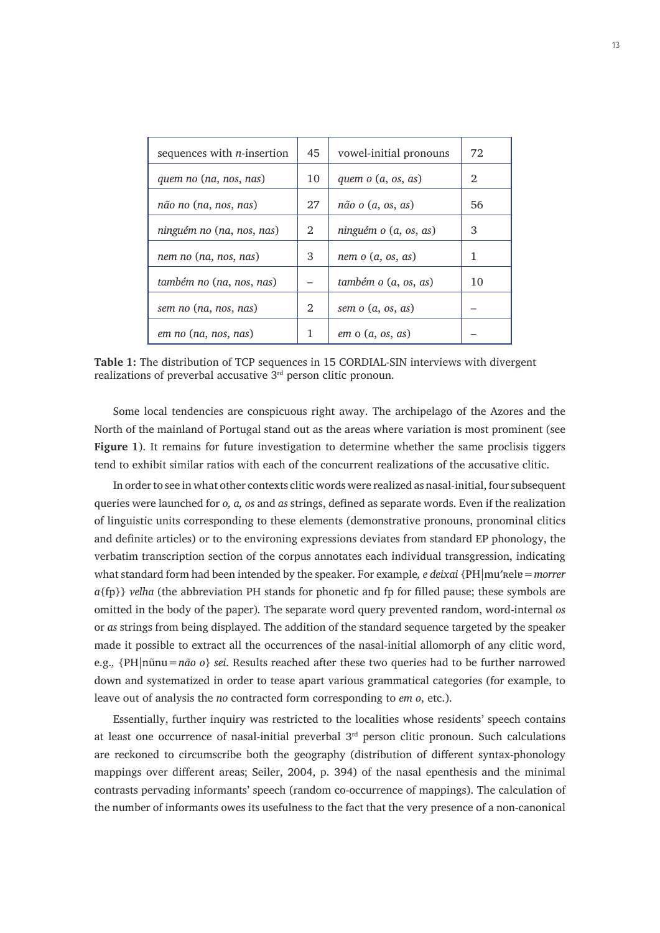| sequences with $n$ -insertion | 45 | vowel-initial pronouns       | 72 |
|-------------------------------|----|------------------------------|----|
| quem no (na, nos, nas)        | 10 | quem $o(a, os, as)$          | 2  |
| não no (na, nos, nas)         | 27 | $n\tilde{a}$ o $(a, os, as)$ | 56 |
| ninguém no (na, nos, nas)     | 2  | ninguém o (a, os, as)        | 3  |
| nem no (na, nos, nas)         | 3  | nem $o(a, os, as)$           | 1  |
| também no (na, nos, nas)      |    | também o (a, os, as)         | 10 |
| sem no (na, nos, nas)         | 2  | sem $o(a, os, as)$           |    |
| em no (na, nos, nas)          | 1  | $em$ o $(a, os, as)$         |    |

**Table 1:** The distribution of TCP sequences in 15 CORDIAL-SIN interviews with divergent realizations of preverbal accusative 3rd person clitic pronoun.

Some local tendencies are conspicuous right away. The archipelago of the Azores and the North of the mainland of Portugal stand out as the areas where variation is most prominent (see **Figure 1**). It remains for future investigation to determine whether the same proclisis tiggers tend to exhibit similar ratios with each of the concurrent realizations of the accusative clitic.

In order to see in what other contexts clitic words were realized as nasal-initial, four subsequent queries were launched for *o, a, os* and *as* strings, defined as separate words. Even if the realization of linguistic units corresponding to these elements (demonstrative pronouns, pronominal clitics and definite articles) or to the environing expressions deviates from standard EP phonology, the verbatim transcription section of the corpus annotates each individual transgression, indicating what standard form had been intended by the speaker. For example*, e deixai* {PH|muʹʀelɐ=*morrer a*{fp}} *velha* (the abbreviation PH stands for phonetic and fp for filled pause; these symbols are omitted in the body of the paper)*.* The separate word query prevented random, word-internal *os* or *as* strings from being displayed. The addition of the standard sequence targeted by the speaker made it possible to extract all the occurrences of the nasal-initial allomorph of any clitic word, e.g.*,* {PH|nũnu=*não o*} *sei*. Results reached after these two queries had to be further narrowed down and systematized in order to tease apart various grammatical categories (for example, to leave out of analysis the *no* contracted form corresponding to *em o*, etc.).

Essentially, further inquiry was restricted to the localities whose residents' speech contains at least one occurrence of nasal-initial preverbal  $3<sup>rd</sup>$  person clitic pronoun. Such calculations are reckoned to circumscribe both the geography (distribution of different syntax-phonology mappings over different areas; Seiler, 2004, p. 394) of the nasal epenthesis and the minimal contrasts pervading informants' speech (random co-occurrence of mappings). The calculation of the number of informants owes its usefulness to the fact that the very presence of a non-canonical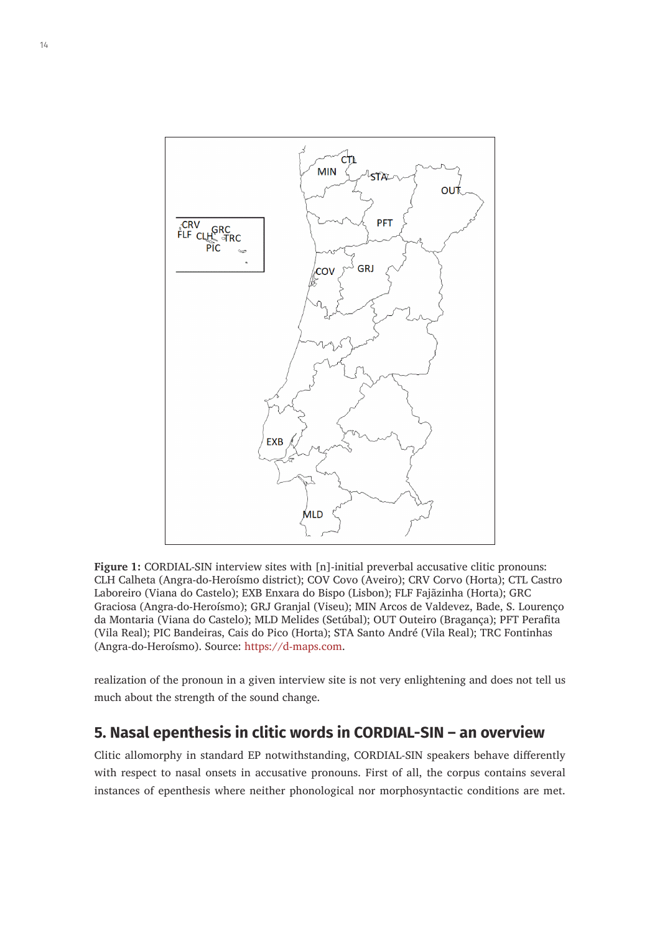

**Figure 1:** CORDIAL-SIN interview sites with [n]-initial preverbal accusative clitic pronouns: CLH Calheta (Angra-do-Heroísmo district); COV Covo (Aveiro); CRV Corvo (Horta); CTL Castro Laboreiro (Viana do Castelo); EXB Enxara do Bispo (Lisbon); FLF Fajãzinha (Horta); GRC Graciosa (Angra-do-Heroísmo); GRJ Granjal (Viseu); MIN Arcos de Valdevez, Bade, S. Lourenço da Montaria (Viana do Castelo); MLD Melides (Setúbal); OUT Outeiro (Bragança); PFT Perafita (Vila Real); PIC Bandeiras, Cais do Pico (Horta); STA Santo André (Vila Real); TRC Fontinhas (Angra-do-Heroísmo). Source: [https://d-maps.com.](https://d-maps.com)

realization of the pronoun in a given interview site is not very enlightening and does not tell us much about the strength of the sound change.

# **5. Nasal epenthesis in clitic words in CORDIAL-SIN – an overview**

Clitic allomorphy in standard EP notwithstanding, CORDIAL-SIN speakers behave differently with respect to nasal onsets in accusative pronouns. First of all, the corpus contains several instances of epenthesis where neither phonological nor morphosyntactic conditions are met.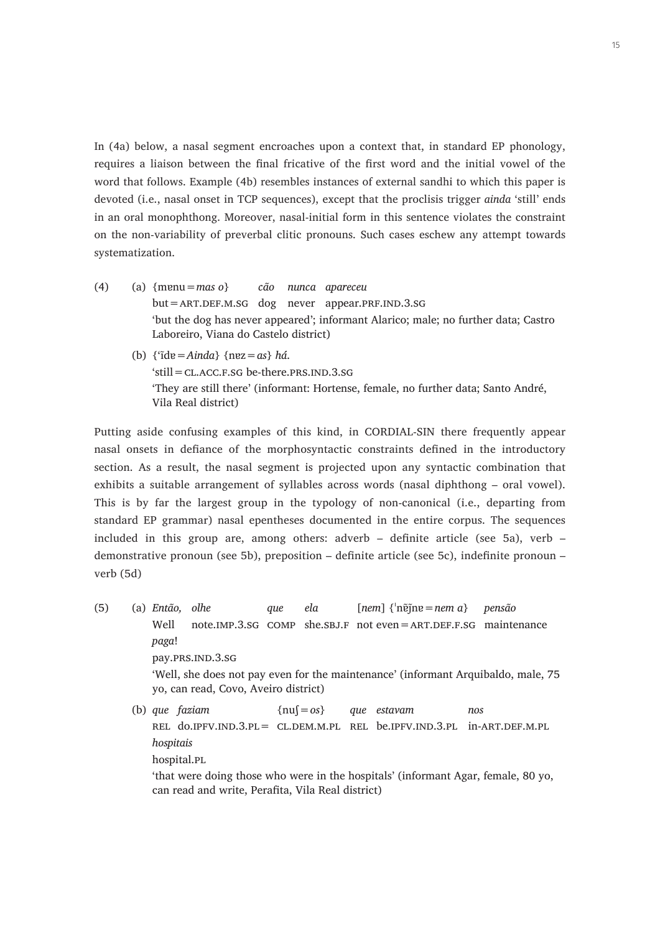In (4a) below, a nasal segment encroaches upon a context that, in standard EP phonology, requires a liaison between the final fricative of the first word and the initial vowel of the word that follows. Example (4b) resembles instances of external sandhi to which this paper is devoted (i.e., nasal onset in TCP sequences), except that the proclisis trigger *ainda* 'still' ends in an oral monophthong. Moreover, nasal-initial form in this sentence violates the constraint on the non-variability of preverbal clitic pronouns. Such cases eschew any attempt towards systematization.

- (4) (a) {mɐnu=*mas o*} *cão nunca apareceu*  $but = ART.DEF.M.SG$  dog never appear.PRF.IND.3.SG 'but the dog has never appeared'; informant Alarico; male; no further data; Castro Laboreiro, Viana do Castelo district)
	- (b) {'ĩdɐ=*Ainda*} {nɐz=*as*} *há*.  $'s$ till= $CL$   $ACC$   $F$   $SG$  be-there. PRS.  $IND$   $3.$   $SG$ 'They are still there' (informant: Hortense, female, no further data; Santo André, Vila Real district)

Putting aside confusing examples of this kind, in CORDIAL-SIN there frequently appear nasal onsets in defiance of the morphosyntactic constraints defined in the introductory section. As a result, the nasal segment is projected upon any syntactic combination that exhibits a suitable arrangement of syllables across words (nasal diphthong – oral vowel). This is by far the largest group in the typology of non-canonical (i.e., departing from standard EP grammar) nasal epentheses documented in the entire corpus. The sequences included in this group are, among others: adverb – definite article (see 5a), verb – demonstrative pronoun (see 5b), preposition – definite article (see 5c), indefinite pronoun – verb (5d)

(5) (a) *Então, olhe que ela* [*nem*] {ˈnɐ̃j̃nɐ=*nem a*} *pensão* Well note.IMP.3.SG COMP she.SBJ.F not even = ART.DEF.F.SG maintenance *paga*! pay.PRS.IND.3.SG 'Well, she does not pay even for the maintenance' (informant Arquibaldo, male, 75 yo, can read, Covo, Aveiro district) (b) *que faziam* {nuʃ=*os*} *que estavam nos*

rel do.ipfv.ind.3.pl= cl.dem.m.pl rel be.ipfv.ind.3.pl in-art.def.m.pl *hospitais* hospital.pl 'that were doing those who were in the hospitals' (informant Agar, female, 80 yo, can read and write, Perafita, Vila Real district)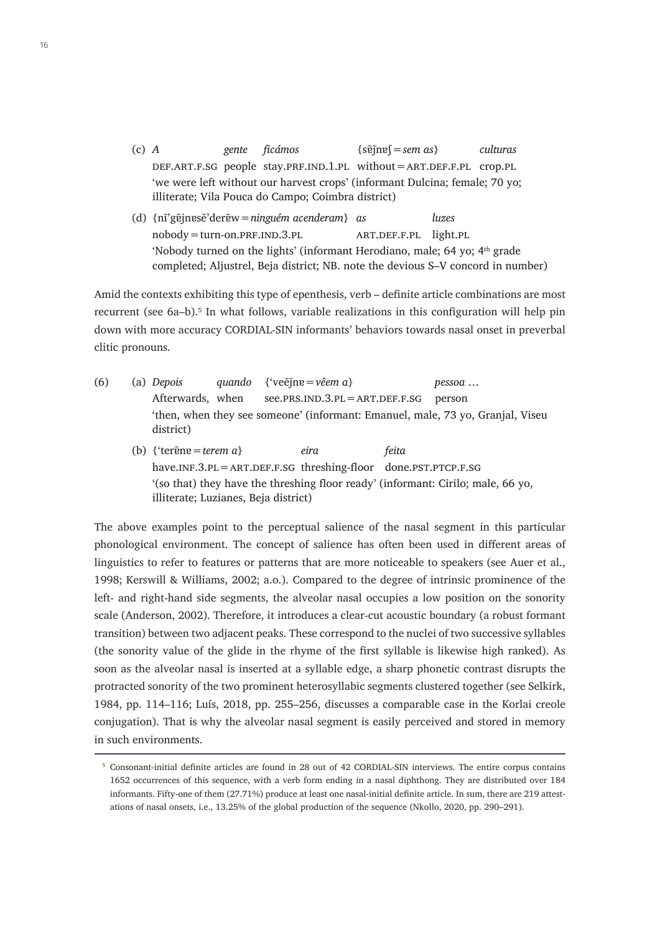- (c) *A gente ficámos* {sɐ̃j̃nɐʃ=*sem as*} *culturas* def.art.f.sg people stay.prf.ind.1.pl without=art.def.f.pl crop.pl 'we were left without our harvest crops' (informant Dulcina; female; 70 yo; illiterate; Vila Pouca do Campo; Coimbra district)
- (d) {nĩ'gɐ̃jnɐsẽ'derɐ̃w=*ninguém acenderam*} *as luzes*  $nobody = turn-on.PRF.IND.3.PL$  ART.DEF.F.PL light.PL 'Nobody turned on the lights' (informant Herodiano, male; 64 yo;  $4<sup>th</sup>$  grade completed; Aljustrel, Beja district; NB. note the devious S–V concord in number)

Amid the contexts exhibiting this type of epenthesis, verb – definite article combinations are most recurrent (see 6a–b).<sup>5</sup> In what follows, variable realizations in this configuration will help pin down with more accuracy CORDIAL-SIN informants' behaviors towards nasal onset in preverbal clitic pronouns.

- (6) (a) *Depois quando* {'veẽj̃nɐ=*vêem a*} *pessoa* … Afterwards, when  $see.PRSIND.3.PL = ART.DEF.F.SG person$ 'then, when they see someone' (informant: Emanuel, male, 73 yo, Granjal, Viseu district)
	- (b) {'terɐ̃nɐ=*terem a*} *eira feita*  $have.\nIR.3.PL = ART.DEF.F.SG threshold for done.\nPST.PTCP.F.SG$ '(so that) they have the threshing floor ready' (informant: Cirilo; male, 66 yo, illiterate; Luzianes, Beja district)

The above examples point to the perceptual salience of the nasal segment in this particular phonological environment. The concept of salience has often been used in different areas of linguistics to refer to features or patterns that are more noticeable to speakers (see Auer et al., 1998; Kerswill & Williams, 2002; a.o.). Compared to the degree of intrinsic prominence of the left- and right-hand side segments, the alveolar nasal occupies a low position on the sonority scale (Anderson, 2002). Therefore, it introduces a clear-cut acoustic boundary (a robust formant transition) between two adjacent peaks. These correspond to the nuclei of two successive syllables (the sonority value of the glide in the rhyme of the first syllable is likewise high ranked). As soon as the alveolar nasal is inserted at a syllable edge, a sharp phonetic contrast disrupts the protracted sonority of the two prominent heterosyllabic segments clustered together (see Selkirk, 1984, pp. 114–116; Luís, 2018, pp. 255–256, discusses a comparable case in the Korlai creole conjugation). That is why the alveolar nasal segment is easily perceived and stored in memory in such environments.

<sup>5</sup> Consonant-initial definite articles are found in 28 out of 42 CORDIAL-SIN interviews. The entire corpus contains 1652 occurrences of this sequence, with a verb form ending in a nasal diphthong. They are distributed over 184 informants. Fifty-one of them (27.71%) produce at least one nasal-initial definite article. In sum, there are 219 attestations of nasal onsets, i.e., 13.25% of the global production of the sequence (Nkollo, 2020, pp. 290–291).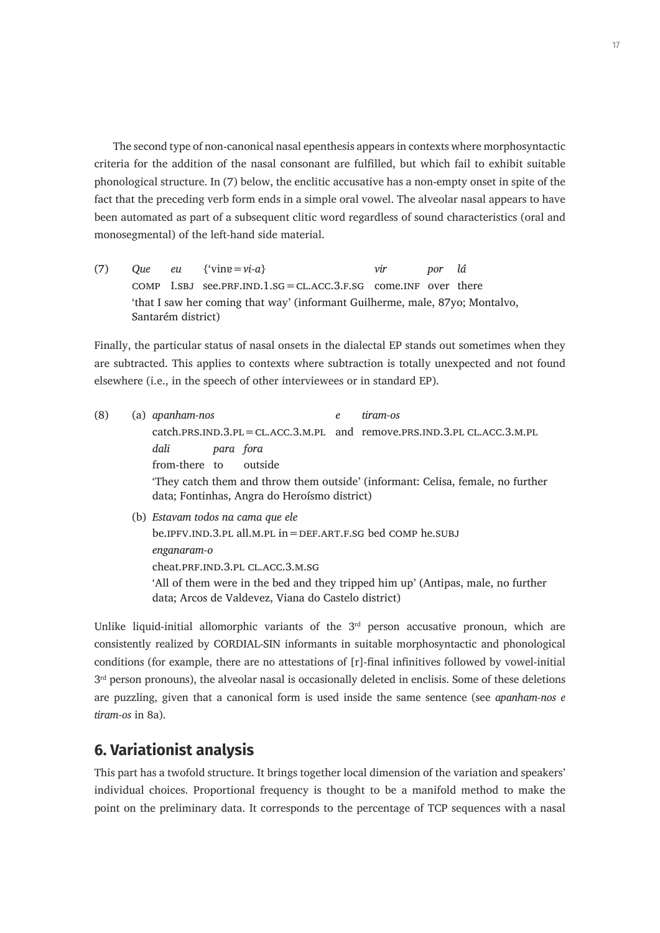The second type of non-canonical nasal epenthesis appears in contexts where morphosyntactic criteria for the addition of the nasal consonant are fulfilled, but which fail to exhibit suitable phonological structure. In (7) below, the enclitic accusative has a non-empty onset in spite of the fact that the preceding verb form ends in a simple oral vowel. The alveolar nasal appears to have been automated as part of a subsequent clitic word regardless of sound characteristics (oral and monosegmental) of the left-hand side material.

(7) *Que eu* {'vinɐ=*vi-a*} *vir por lá* comp I.sbj see.prf.ind.1.sg=cl.acc.3.f.sg come.inf over there 'that I saw her coming that way' (informant Guilherme, male, 87yo; Montalvo, Santarém district)

Finally, the particular status of nasal onsets in the dialectal EP stands out sometimes when they are subtracted. This applies to contexts where subtraction is totally unexpected and not found elsewhere (i.e., in the speech of other interviewees or in standard EP).

- (8) (a) *apanham-nos e tiram-os* catch.prs.ind.3.pl=cl.acc.3.m.pl and remove.prs.ind.3.pl cl.acc.3.m.pl *dali para fora* from-there to outside 'They catch them and throw them outside' (informant: Celisa, female, no further data; Fontinhas, Angra do Heroísmo district) (b) *Estavam todos na cama que ele* be.ipfv.ind.3.pl all.m.pl in=def.art.f.sg bed comp he.subj
	- *enganaram-o* cheat.prF.IND.3.PL CL.ACC.3.M.SG 'All of them were in the bed and they tripped him up' (Antipas, male, no further data; Arcos de Valdevez, Viana do Castelo district)

Unlike liquid-initial allomorphic variants of the  $3<sup>rd</sup>$  person accusative pronoun, which are consistently realized by CORDIAL-SIN informants in suitable morphosyntactic and phonological conditions (for example, there are no attestations of [r]-final infinitives followed by vowel-initial  $3<sup>rd</sup>$  person pronouns), the alveolar nasal is occasionally deleted in enclisis. Some of these deletions are puzzling, given that a canonical form is used inside the same sentence (see *apanham-nos e tiram-os* in 8a).

# **6. Variationist analysis**

This part has a twofold structure. It brings together local dimension of the variation and speakers' individual choices. Proportional frequency is thought to be a manifold method to make the point on the preliminary data. It corresponds to the percentage of TCP sequences with a nasal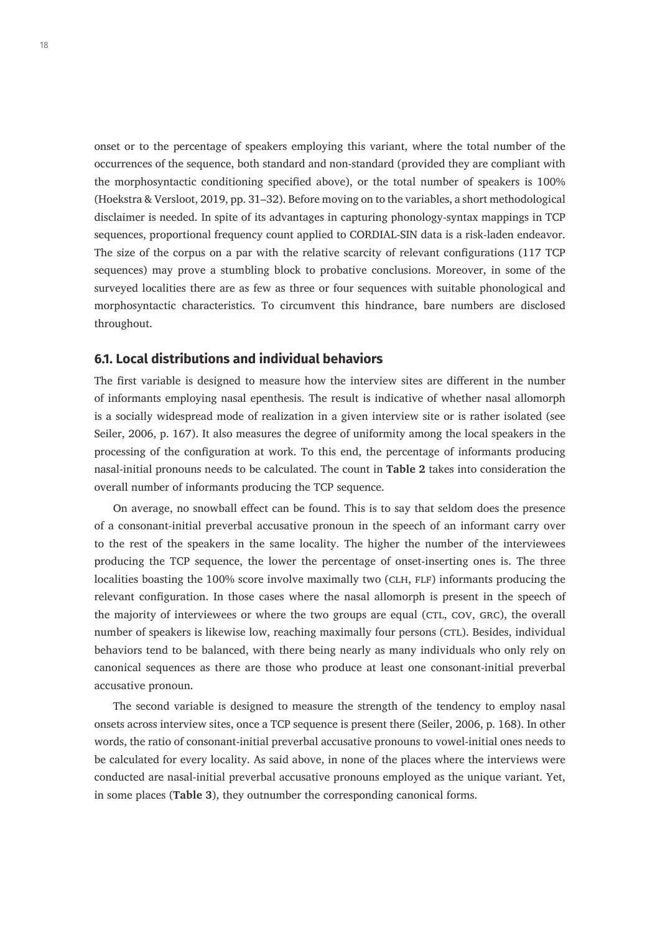onset or to the percentage of speakers employing this variant, where the total number of the occurrences of the sequence, both standard and non-standard (provided they are compliant with the morphosyntactic conditioning specified above), or the total number of speakers is 100% (Hoekstra & Versloot, 2019, pp. 31–32). Before moving on to the variables, a short methodological disclaimer is needed. In spite of its advantages in capturing phonology-syntax mappings in TCP sequences, proportional frequency count applied to CORDIAL-SIN data is a risk-laden endeavor. The size of the corpus on a par with the relative scarcity of relevant configurations (117 TCP sequences) may prove a stumbling block to probative conclusions. Moreover, in some of the surveyed localities there are as few as three or four sequences with suitable phonological and morphosyntactic characteristics. To circumvent this hindrance, bare numbers are disclosed throughout.

#### **6.1. Local distributions and individual behaviors**

The first variable is designed to measure how the interview sites are different in the number of informants employing nasal epenthesis. The result is indicative of whether nasal allomorph is a socially widespread mode of realization in a given interview site or is rather isolated (see Seiler, 2006, p. 167). It also measures the degree of uniformity among the local speakers in the processing of the configuration at work. To this end, the percentage of informants producing nasal-initial pronouns needs to be calculated. The count in **Table 2** takes into consideration the overall number of informants producing the TCP sequence.

On average, no snowball effect can be found. This is to say that seldom does the presence of a consonant-initial preverbal accusative pronoun in the speech of an informant carry over to the rest of the speakers in the same locality. The higher the number of the interviewees producing the TCP sequence, the lower the percentage of onset-inserting ones is. The three localities boasting the 100% score involve maximally two (CLH, FLF) informants producing the relevant configuration. In those cases where the nasal allomorph is present in the speech of the majority of interviewees or where the two groups are equal (CTL, COV, GRC), the overall number of speakers is likewise low, reaching maximally four persons (CTL). Besides, individual behaviors tend to be balanced, with there being nearly as many individuals who only rely on canonical sequences as there are those who produce at least one consonant-initial preverbal accusative pronoun.

The second variable is designed to measure the strength of the tendency to employ nasal onsets across interview sites, once a TCP sequence is present there (Seiler, 2006, p. 168). In other words, the ratio of consonant-initial preverbal accusative pronouns to vowel-initial ones needs to be calculated for every locality. As said above, in none of the places where the interviews were conducted are nasal-initial preverbal accusative pronouns employed as the unique variant. Yet, in some places (**Table 3**), they outnumber the corresponding canonical forms.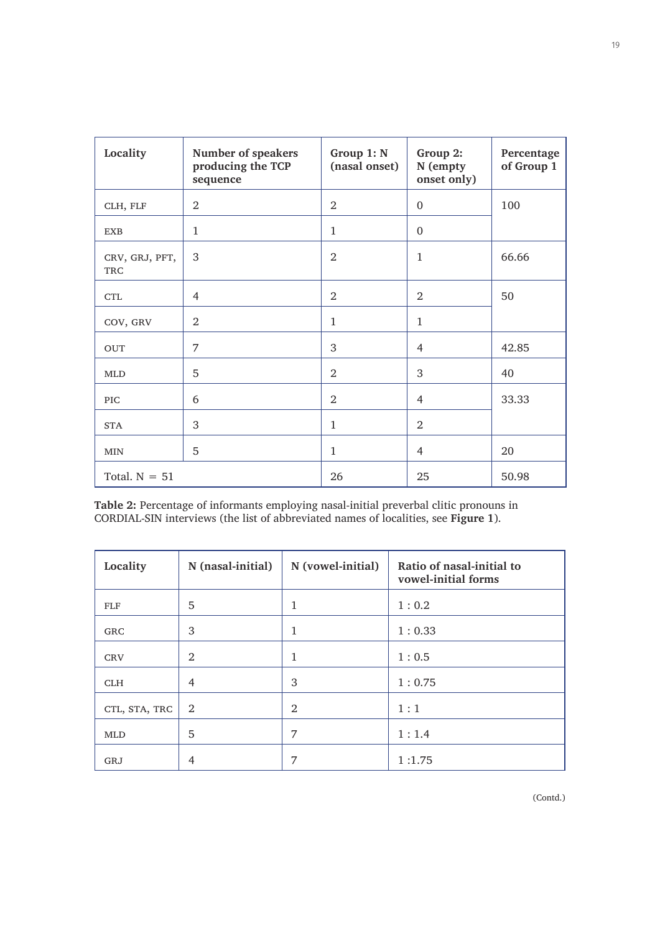| Locality                     | Number of speakers<br>producing the TCP<br>sequence | Group 1: N<br>(nasal onset) | Group 2:<br>N (empty<br>onset only) | Percentage<br>of Group 1 |
|------------------------------|-----------------------------------------------------|-----------------------------|-------------------------------------|--------------------------|
| CLH, FLF                     | $\overline{2}$                                      | $\overline{2}$              | $\mathbf{0}$                        | 100                      |
| <b>EXB</b>                   | $\mathbf{1}$                                        | $\mathbf{1}$                | $\mathbf{0}$                        |                          |
| CRV, GRJ, PFT,<br><b>TRC</b> | 3                                                   | $\overline{2}$              | $\mathbf{1}$                        | 66.66                    |
| <b>CTL</b>                   | 4                                                   | 2                           | 2                                   | 50                       |
| COV, GRV                     | $\overline{2}$                                      | $\mathbf{1}$                | $\mathbf{1}$                        |                          |
| <b>OUT</b>                   | 7                                                   | 3                           | 4                                   | 42.85                    |
| <b>MLD</b>                   | 5                                                   | 2                           | 3                                   | 40                       |
| <b>PIC</b>                   | 6                                                   | 2                           | $\overline{4}$                      | 33.33                    |
| <b>STA</b>                   | 3                                                   | $\mathbf{1}$                | $\overline{2}$                      |                          |
| <b>MIN</b>                   | 5                                                   | $\mathbf{1}$                | 4                                   | 20                       |
| Total. $N = 51$              |                                                     | 26                          | 25                                  | 50.98                    |

**Table 2:** Percentage of informants employing nasal-initial preverbal clitic pronouns in CORDIAL-SIN interviews (the list of abbreviated names of localities, see **Figure 1**).

| Locality      | N (nasal-initial) | N (vowel-initial) | Ratio of nasal-initial to<br>vowel-initial forms |
|---------------|-------------------|-------------------|--------------------------------------------------|
| <b>FLF</b>    | 5                 | 1                 | 1:0.2                                            |
| <b>GRC</b>    | 3                 | 1                 | 1:0.33                                           |
| <b>CRV</b>    | 2                 | 1                 | 1:0.5                                            |
| <b>CLH</b>    | 4                 | 3                 | 1:0.75                                           |
| CTL, STA, TRC | 2                 | 2                 | 1:1                                              |
| <b>MLD</b>    | 5                 | 7                 | 1:1.4                                            |
| GRJ           | 4                 | 7                 | 1:1.75                                           |

(Contd.)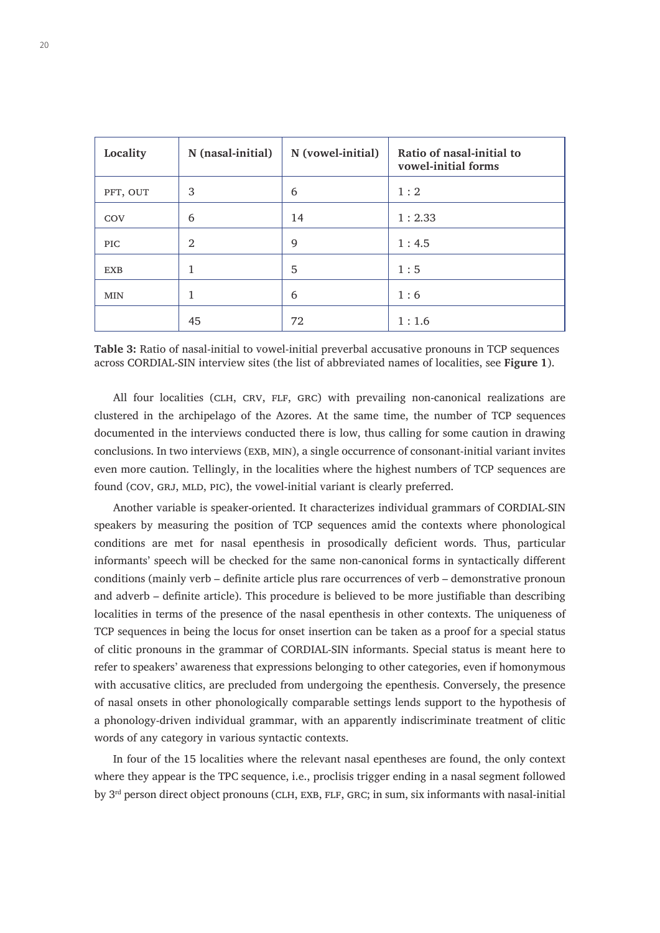| Locality   | N (nasal-initial) | N (vowel-initial) | Ratio of nasal-initial to<br>vowel-initial forms |
|------------|-------------------|-------------------|--------------------------------------------------|
| PFT, OUT   | 3                 | 6                 | 1:2                                              |
| COV        | 6                 | 14                | 1:2.33                                           |
| <b>PIC</b> | 2                 | 9                 | 1:4.5                                            |
| <b>EXB</b> | 1                 | 5                 | 1:5                                              |
| <b>MIN</b> | 1                 | 6                 | 1:6                                              |
|            | 45                | 72                | 1:1.6                                            |

**Table 3:** Ratio of nasal-initial to vowel-initial preverbal accusative pronouns in TCP sequences across CORDIAL-SIN interview sites (the list of abbreviated names of localities, see **Figure 1**).

All four localities (CLH, CRV, FLF, GRC) with prevailing non-canonical realizations are clustered in the archipelago of the Azores. At the same time, the number of TCP sequences documented in the interviews conducted there is low, thus calling for some caution in drawing conclusions. In two interviews (EXB, MIN), a single occurrence of consonant-initial variant invites even more caution. Tellingly, in the localities where the highest numbers of TCP sequences are found (COV, GRJ, MLD, PIC), the vowel-initial variant is clearly preferred.

Another variable is speaker-oriented. It characterizes individual grammars of CORDIAL-SIN speakers by measuring the position of TCP sequences amid the contexts where phonological conditions are met for nasal epenthesis in prosodically deficient words. Thus, particular informants' speech will be checked for the same non-canonical forms in syntactically different conditions (mainly verb – definite article plus rare occurrences of verb – demonstrative pronoun and adverb – definite article). This procedure is believed to be more justifiable than describing localities in terms of the presence of the nasal epenthesis in other contexts. The uniqueness of TCP sequences in being the locus for onset insertion can be taken as a proof for a special status of clitic pronouns in the grammar of CORDIAL-SIN informants. Special status is meant here to refer to speakers' awareness that expressions belonging to other categories, even if homonymous with accusative clitics, are precluded from undergoing the epenthesis. Conversely, the presence of nasal onsets in other phonologically comparable settings lends support to the hypothesis of a phonology-driven individual grammar, with an apparently indiscriminate treatment of clitic words of any category in various syntactic contexts.

In four of the 15 localities where the relevant nasal epentheses are found, the only context where they appear is the TPC sequence, i.e., proclisis trigger ending in a nasal segment followed by 3<sup>rd</sup> person direct object pronouns (CLH, EXB, FLF, GRC; in sum, six informants with nasal-initial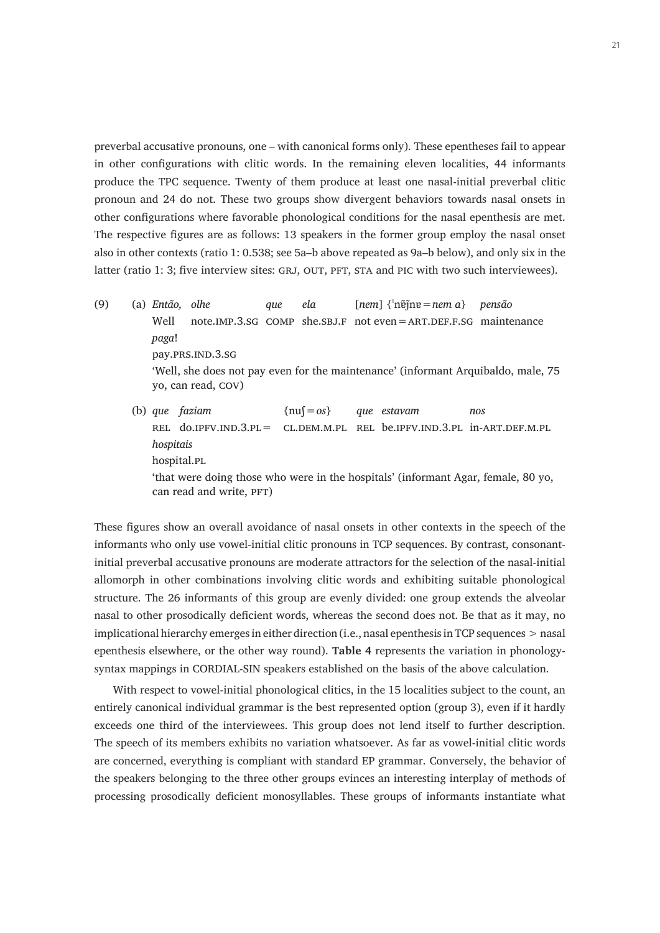preverbal accusative pronouns, one – with canonical forms only). These epentheses fail to appear in other configurations with clitic words. In the remaining eleven localities, 44 informants produce the TPC sequence. Twenty of them produce at least one nasal-initial preverbal clitic pronoun and 24 do not. These two groups show divergent behaviors towards nasal onsets in other configurations where favorable phonological conditions for the nasal epenthesis are met. The respective figures are as follows: 13 speakers in the former group employ the nasal onset also in other contexts (ratio 1: 0.538; see 5a–b above repeated as 9a–b below), and only six in the latter (ratio 1: 3; five interview sites: GRJ, OUT, PFT, STA and PIC with two such interviewees).

- (9) (a) *Então, olhe que ela* [*nem*] {ˈnɐ̃j̃nɐ=*nem a*} *pensão* Well note.IMP.3.SG COMP she.SBJ.F not even = ART.DEF.F.SG maintenance *paga*! pay.PRS.IND.3.SG 'Well, she does not pay even for the maintenance' (informant Arquibaldo, male, 75 yo, can read, cov)
	- (b) *que faziam* {nuʃ=*os*} *que estavam nos* rel do.ipfv.ind.3.pl= cl.dem.m.pl rel be.ipfv.ind.3.pl in-art.def.m.pl *hospitais* hospital.pl 'that were doing those who were in the hospitals' (informant Agar, female, 80 yo, can read and write, PFT)

These figures show an overall avoidance of nasal onsets in other contexts in the speech of the informants who only use vowel-initial clitic pronouns in TCP sequences. By contrast, consonantinitial preverbal accusative pronouns are moderate attractors for the selection of the nasal-initial allomorph in other combinations involving clitic words and exhibiting suitable phonological structure. The 26 informants of this group are evenly divided: one group extends the alveolar nasal to other prosodically deficient words, whereas the second does not. Be that as it may, no implicational hierarchy emerges in either direction (i.e., nasal epenthesis in TCP sequences > nasal epenthesis elsewhere, or the other way round). **Table 4** represents the variation in phonologysyntax mappings in CORDIAL-SIN speakers established on the basis of the above calculation.

With respect to vowel-initial phonological clitics, in the 15 localities subject to the count, an entirely canonical individual grammar is the best represented option (group 3), even if it hardly exceeds one third of the interviewees. This group does not lend itself to further description. The speech of its members exhibits no variation whatsoever. As far as vowel-initial clitic words are concerned, everything is compliant with standard EP grammar. Conversely, the behavior of the speakers belonging to the three other groups evinces an interesting interplay of methods of processing prosodically deficient monosyllables. These groups of informants instantiate what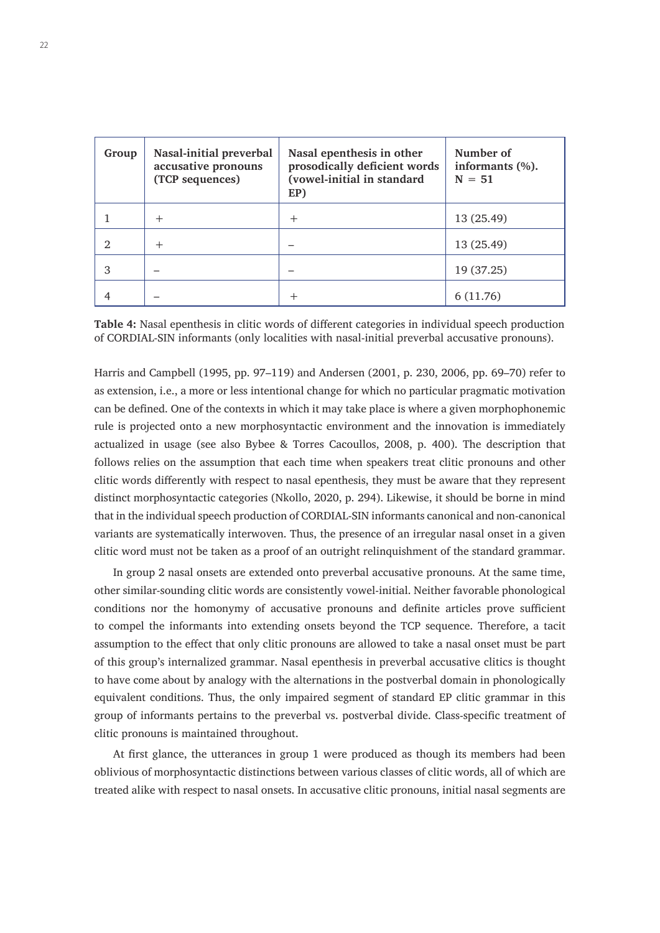| Group          | Nasal-initial preverbal<br>accusative pronouns<br>(TCP sequences) | Nasal epenthesis in other<br>prosodically deficient words<br>(vowel-initial in standard<br>EP) | Number of<br>informants $(\%).$<br>$N = 51$ |
|----------------|-------------------------------------------------------------------|------------------------------------------------------------------------------------------------|---------------------------------------------|
|                | $^{+}$                                                            | $^+$                                                                                           | 13 (25.49)                                  |
| $\mathfrak{D}$ | $^{+}$                                                            |                                                                                                | 13 (25.49)                                  |
| 3              |                                                                   |                                                                                                | 19 (37.25)                                  |
|                |                                                                   |                                                                                                | 6(11.76)                                    |

**Table 4:** Nasal epenthesis in clitic words of different categories in individual speech production of CORDIAL-SIN informants (only localities with nasal-initial preverbal accusative pronouns).

Harris and Campbell (1995, pp. 97–119) and Andersen (2001, p. 230, 2006, pp. 69–70) refer to as extension, i.e., a more or less intentional change for which no particular pragmatic motivation can be defined. One of the contexts in which it may take place is where a given morphophonemic rule is projected onto a new morphosyntactic environment and the innovation is immediately actualized in usage (see also Bybee & Torres Cacoullos, 2008, p. 400). The description that follows relies on the assumption that each time when speakers treat clitic pronouns and other clitic words differently with respect to nasal epenthesis, they must be aware that they represent distinct morphosyntactic categories (Nkollo, 2020, p. 294). Likewise, it should be borne in mind that in the individual speech production of CORDIAL-SIN informants canonical and non-canonical variants are systematically interwoven. Thus, the presence of an irregular nasal onset in a given clitic word must not be taken as a proof of an outright relinquishment of the standard grammar.

In group 2 nasal onsets are extended onto preverbal accusative pronouns. At the same time, other similar-sounding clitic words are consistently vowel-initial. Neither favorable phonological conditions nor the homonymy of accusative pronouns and definite articles prove sufficient to compel the informants into extending onsets beyond the TCP sequence. Therefore, a tacit assumption to the effect that only clitic pronouns are allowed to take a nasal onset must be part of this group's internalized grammar. Nasal epenthesis in preverbal accusative clitics is thought to have come about by analogy with the alternations in the postverbal domain in phonologically equivalent conditions. Thus, the only impaired segment of standard EP clitic grammar in this group of informants pertains to the preverbal vs. postverbal divide. Class-specific treatment of clitic pronouns is maintained throughout.

At first glance, the utterances in group 1 were produced as though its members had been oblivious of morphosyntactic distinctions between various classes of clitic words, all of which are treated alike with respect to nasal onsets. In accusative clitic pronouns, initial nasal segments are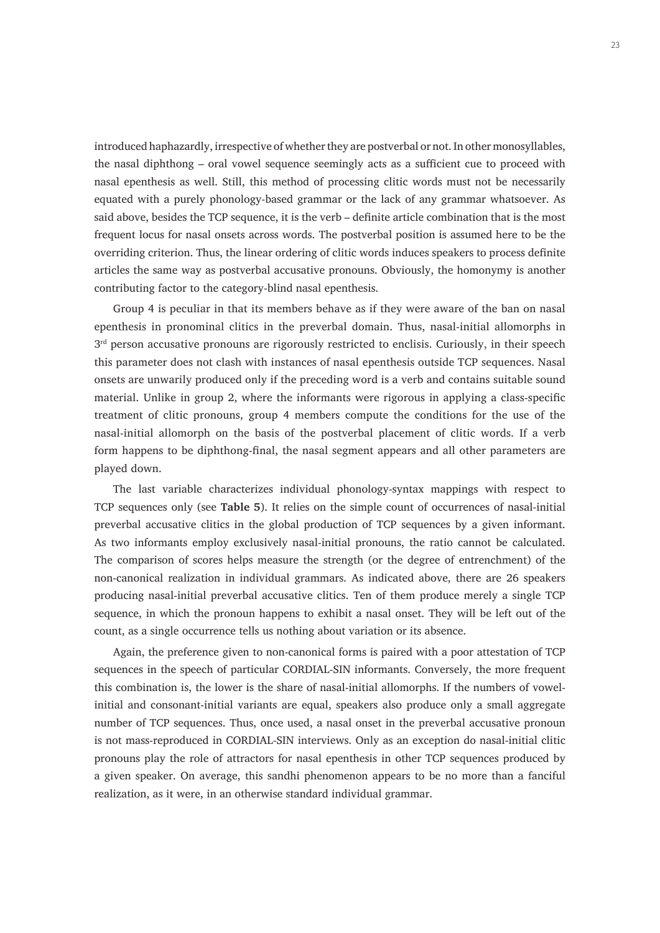introduced haphazardly, irrespective of whether they are postverbal or not. In other monosyllables, the nasal diphthong – oral vowel sequence seemingly acts as a sufficient cue to proceed with nasal epenthesis as well. Still, this method of processing clitic words must not be necessarily equated with a purely phonology-based grammar or the lack of any grammar whatsoever. As said above, besides the TCP sequence, it is the verb – definite article combination that is the most frequent locus for nasal onsets across words. The postverbal position is assumed here to be the overriding criterion. Thus, the linear ordering of clitic words induces speakers to process definite articles the same way as postverbal accusative pronouns. Obviously, the homonymy is another contributing factor to the category-blind nasal epenthesis.

Group 4 is peculiar in that its members behave as if they were aware of the ban on nasal epenthesis in pronominal clitics in the preverbal domain. Thus, nasal-initial allomorphs in  $3<sup>rd</sup>$  person accusative pronouns are rigorously restricted to enclisis. Curiously, in their speech this parameter does not clash with instances of nasal epenthesis outside TCP sequences. Nasal onsets are unwarily produced only if the preceding word is a verb and contains suitable sound material. Unlike in group 2, where the informants were rigorous in applying a class-specific treatment of clitic pronouns, group 4 members compute the conditions for the use of the nasal-initial allomorph on the basis of the postverbal placement of clitic words. If a verb form happens to be diphthong-final, the nasal segment appears and all other parameters are played down.

The last variable characterizes individual phonology-syntax mappings with respect to TCP sequences only (see **Table 5**). It relies on the simple count of occurrences of nasal-initial preverbal accusative clitics in the global production of TCP sequences by a given informant. As two informants employ exclusively nasal-initial pronouns, the ratio cannot be calculated. The comparison of scores helps measure the strength (or the degree of entrenchment) of the non-canonical realization in individual grammars. As indicated above, there are 26 speakers producing nasal-initial preverbal accusative clitics. Ten of them produce merely a single TCP sequence, in which the pronoun happens to exhibit a nasal onset. They will be left out of the count, as a single occurrence tells us nothing about variation or its absence.

Again, the preference given to non-canonical forms is paired with a poor attestation of TCP sequences in the speech of particular CORDIAL-SIN informants. Conversely, the more frequent this combination is, the lower is the share of nasal-initial allomorphs. If the numbers of vowelinitial and consonant-initial variants are equal, speakers also produce only a small aggregate number of TCP sequences. Thus, once used, a nasal onset in the preverbal accusative pronoun is not mass-reproduced in CORDIAL-SIN interviews. Only as an exception do nasal-initial clitic pronouns play the role of attractors for nasal epenthesis in other TCP sequences produced by a given speaker. On average, this sandhi phenomenon appears to be no more than a fanciful realization, as it were, in an otherwise standard individual grammar.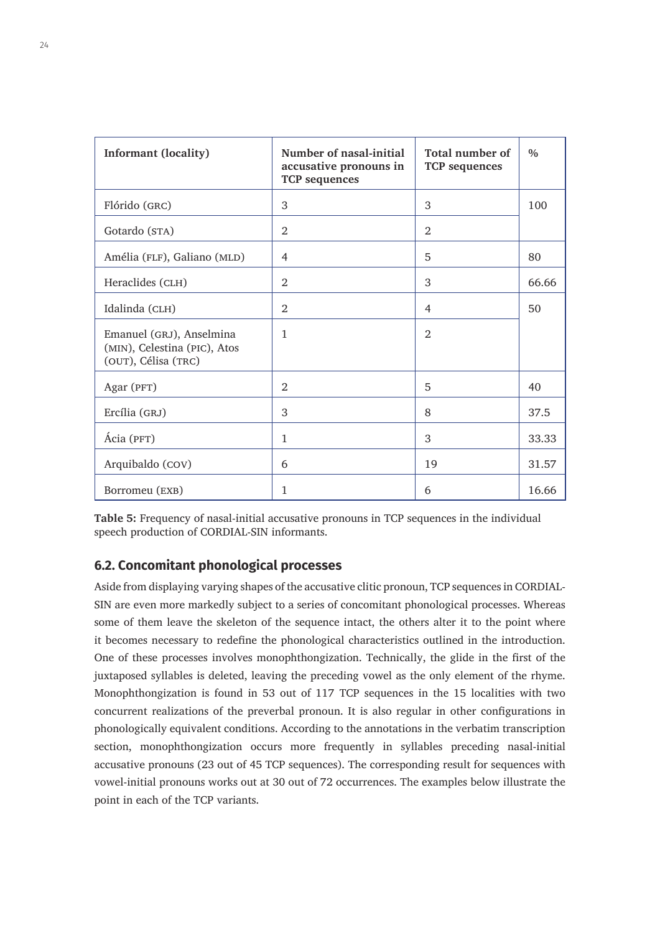| <b>Informant (locality)</b>                                                     | Number of nasal-initial<br>accusative pronouns in<br><b>TCP</b> sequences | Total number of<br><b>TCP</b> sequences | $\frac{0}{0}$ |
|---------------------------------------------------------------------------------|---------------------------------------------------------------------------|-----------------------------------------|---------------|
| Flórido (GRC)                                                                   | 3                                                                         | 3                                       | 100           |
| Gotardo (STA)                                                                   | 2                                                                         | 2                                       |               |
| Amélia (FLF), Galiano (MLD)                                                     | 4                                                                         | 5                                       | 80            |
| Heraclides (CLH)                                                                | 2                                                                         | 3                                       | 66.66         |
| Idalinda (CLH)                                                                  | $\overline{2}$                                                            | 4                                       | 50            |
| Emanuel (GRJ), Anselmina<br>(MIN), Celestina (PIC), Atos<br>(OUT), Célisa (TRC) | 1                                                                         | $\mathfrak{D}$                          |               |
| Agar (PFT)                                                                      | 2                                                                         | 5                                       | 40            |
| Ercília (GRJ)                                                                   | 3                                                                         | 8                                       | 37.5          |
| Ácia (PFT)                                                                      | $\mathbf{1}$                                                              | 3                                       | 33.33         |
| Arquibaldo (COV)                                                                | 6                                                                         | 19                                      | 31.57         |
| Borromeu (EXB)                                                                  | 1                                                                         | 6                                       | 16.66         |

**Table 5:** Frequency of nasal-initial accusative pronouns in TCP sequences in the individual speech production of CORDIAL-SIN informants.

#### **6.2. Concomitant phonological processes**

Aside from displaying varying shapes of the accusative clitic pronoun, TCP sequences in CORDIAL-SIN are even more markedly subject to a series of concomitant phonological processes. Whereas some of them leave the skeleton of the sequence intact, the others alter it to the point where it becomes necessary to redefine the phonological characteristics outlined in the introduction. One of these processes involves monophthongization. Technically, the glide in the first of the juxtaposed syllables is deleted, leaving the preceding vowel as the only element of the rhyme. Monophthongization is found in 53 out of 117 TCP sequences in the 15 localities with two concurrent realizations of the preverbal pronoun. It is also regular in other configurations in phonologically equivalent conditions. According to the annotations in the verbatim transcription section, monophthongization occurs more frequently in syllables preceding nasal-initial accusative pronouns (23 out of 45 TCP sequences). The corresponding result for sequences with vowel-initial pronouns works out at 30 out of 72 occurrences. The examples below illustrate the point in each of the TCP variants.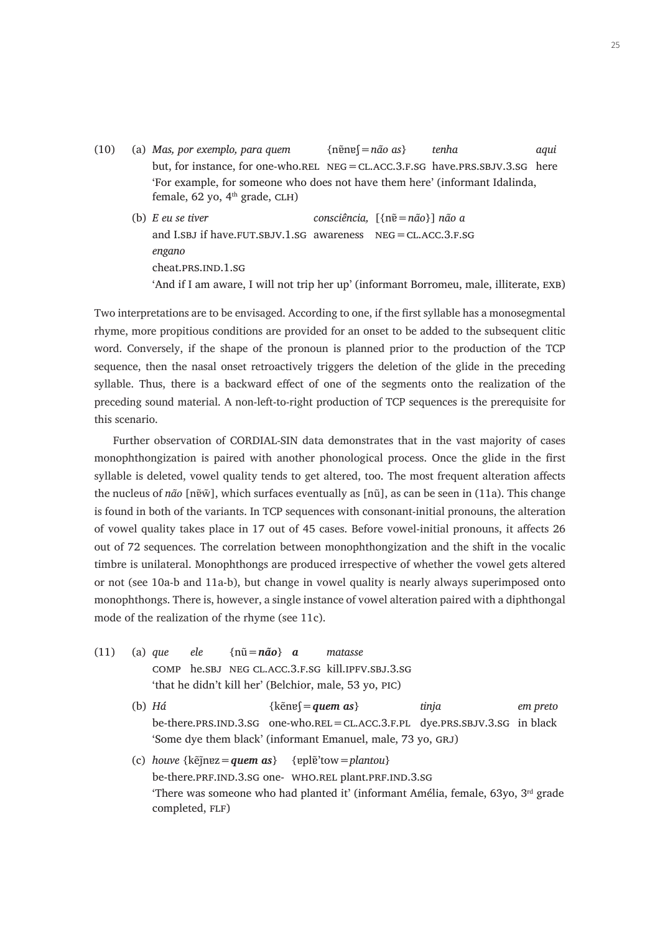- (10) (a) *Mas, por exemplo, para quem* {nɐ̃nɐʃ=*não as*} *tenha aqui* but, for instance, for one-who.rel  $NEG = CLACC.3.F.SG$  have.prs.sbjv.3.sg here 'For example, for someone who does not have them here' (informant Idalinda, female, 62 yo, 4<sup>th</sup> grade, CLH)
	- (b) *E eu se tiver consciência,* [{nɐ̃=*não*}] *não a* and I.SBJ if have.FUT.SBJV.1.SG awareness  $NEG=CLACC.3.F.SG$ *engano* cheat.PRS.IND.1.SG 'And if I am aware, I will not trip her up' (informant Borromeu, male, illiterate, exb)

Two interpretations are to be envisaged. According to one, if the first syllable has a monosegmental rhyme, more propitious conditions are provided for an onset to be added to the subsequent clitic word. Conversely, if the shape of the pronoun is planned prior to the production of the TCP sequence, then the nasal onset retroactively triggers the deletion of the glide in the preceding syllable. Thus, there is a backward effect of one of the segments onto the realization of the preceding sound material. A non-left-to-right production of TCP sequences is the prerequisite for this scenario.

Further observation of CORDIAL-SIN data demonstrates that in the vast majority of cases monophthongization is paired with another phonological process. Once the glide in the first syllable is deleted, vowel quality tends to get altered, too. The most frequent alteration affects the nucleus of *não* [nɐ̃w̃], which surfaces eventually as [nũ], as can be seen in (11a). This change is found in both of the variants. In TCP sequences with consonant-initial pronouns, the alteration of vowel quality takes place in 17 out of 45 cases. Before vowel-initial pronouns, it affects 26 out of 72 sequences. The correlation between monophthongization and the shift in the vocalic timbre is unilateral. Monophthongs are produced irrespective of whether the vowel gets altered or not (see 10a-b and 11a-b), but change in vowel quality is nearly always superimposed onto monophthongs. There is, however, a single instance of vowel alteration paired with a diphthongal mode of the realization of the rhyme (see 11c).

- (11) (a) *que ele* {nũ=*não*} *a matasse* comp he.sbj neg cl.acc.3.f.sg kill.ipfv.sbj.3.sg 'that he didn't kill her' (Belchior, male, 53 yo, pic)
	- (b) *Há* {kẽnɐʃ=*quem as*} *tinja em preto* be-there.prs.ind.3.sg one-who.rel=cl.acc.3.f.pl dye.prs.sbjv.3.sg in black 'Some dye them black' (informant Emanuel, male, 73 yo, GRJ)
	- (c) *houve* {kẽj̃nɐz=*quem as*} {ɐplɐ̃'tow=*plantou*} be-there.prf.ind.3.sg one- who.rel plant.prf.ind.3.sg 'There was someone who had planted it' (informant Amélia, female,  $63y$ o,  $3<sup>rd</sup>$  grade completed, FLF)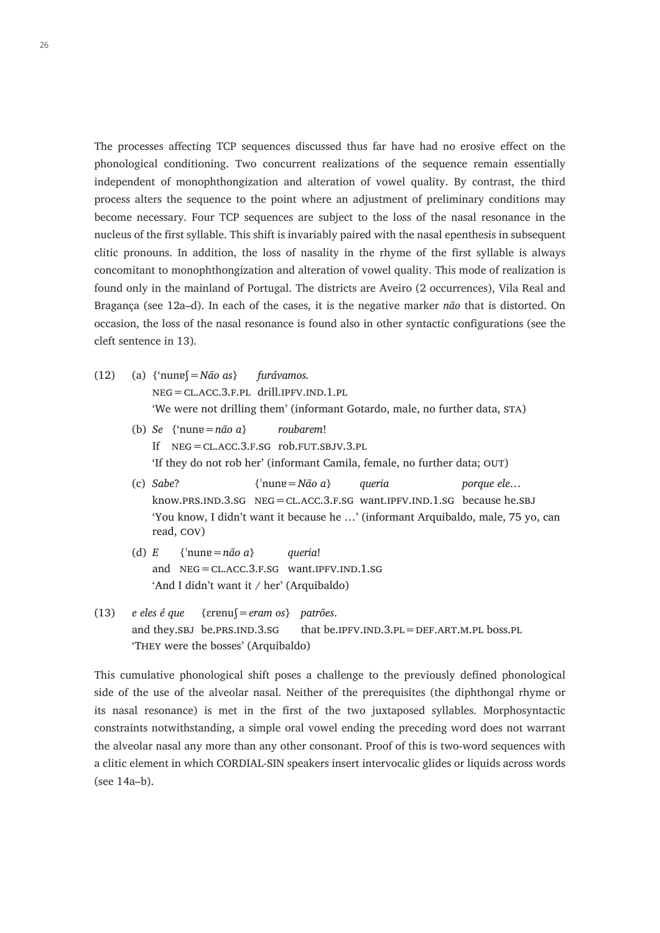The processes affecting TCP sequences discussed thus far have had no erosive effect on the phonological conditioning. Two concurrent realizations of the sequence remain essentially independent of monophthongization and alteration of vowel quality. By contrast, the third process alters the sequence to the point where an adjustment of preliminary conditions may become necessary. Four TCP sequences are subject to the loss of the nasal resonance in the nucleus of the first syllable. This shift is invariably paired with the nasal epenthesis in subsequent clitic pronouns. In addition, the loss of nasality in the rhyme of the first syllable is always concomitant to monophthongization and alteration of vowel quality. This mode of realization is found only in the mainland of Portugal. The districts are Aveiro (2 occurrences), Vila Real and Bragança (see 12a–d). In each of the cases, it is the negative marker *não* that is distorted. On occasion, the loss of the nasal resonance is found also in other syntactic configurations (see the cleft sentence in 13).

- (12) (a) {'nunɐʃ=*Não as*} *furávamos.* neg=cl.acc.3.f.pl drill.ipfv.ind.1.pl 'We were not drilling them' (informant Gotardo, male, no further data, STA)
	- (b) *Se* {'nunɐ=*não a*} *roubarem*! If neg=cl.acc.3.f.sg rob.fut.sbjv.3.pl 'If they do not rob her' (informant Camila, female, no further data; out)
	- (c) *Sabe*? {ˈnunɐ=*Não a*} *queria porque ele*… know.prs.ind.3.sg neg=cl.acc.3.f.sg want.ipfv.ind.1.sg because he.sbj 'You know, I didn't want it because he …' (informant Arquibaldo, male, 75 yo, can read, cov)
	- (d)  $E = \{\text{hune} = n\tilde{a}o\ a\}$  *queria!* and  $NEG=CLACC.3.F.SG$  want.IPFV.IND.1.SG 'And I didn't want it / her' (Arquibaldo)
- (13) *e eles é que* {ɛrɐnuʃ=*eram os*} *patrões*. and they. SBJ be. PRS. IND.  $3.8G$  that be. IPFV. IND.  $3.PL = DEF$ . ART. M. PL boss. PL 'They were the bosses' (Arquibaldo)

This cumulative phonological shift poses a challenge to the previously defined phonological side of the use of the alveolar nasal. Neither of the prerequisites (the diphthongal rhyme or its nasal resonance) is met in the first of the two juxtaposed syllables. Morphosyntactic constraints notwithstanding, a simple oral vowel ending the preceding word does not warrant the alveolar nasal any more than any other consonant. Proof of this is two-word sequences with a clitic element in which CORDIAL-SIN speakers insert intervocalic glides or liquids across words (see 14a–b).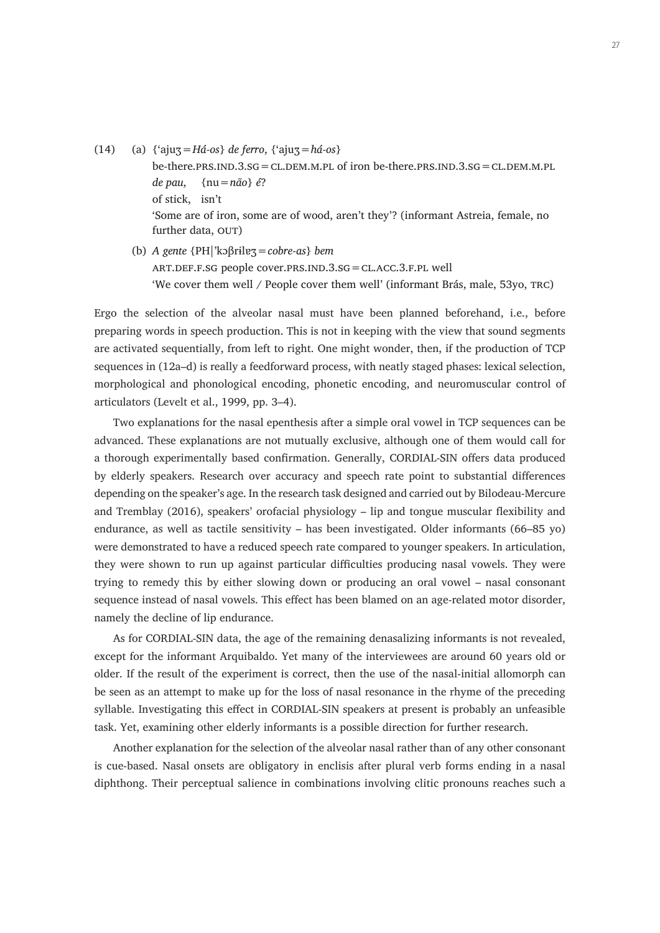- (14) (a) {'ajuʒ=*Há-os*} *de ferro*, {'ajuʒ=*há-os*} be-there.prs. $IND.3.SG = CL. DEM.M.PL$  of iron be-there.prs. $IND.3.SG = CL. DEM.M.PL$ *de pau*, {nu=*não*} *é*? of stick, isn't 'Some are of iron, some are of wood, aren't they'? (informant Astreia, female, no further data, OUT)
	- (b) *A gente* {PH|'kɔβrɨlɐʒ=*cobre-as*} *bem* art.def.f.sg people cover.prs.ind.3.sg=cl.acc.3.f.pl well 'We cover them well / People cover them well' (informant Brás, male, 53yo, trc)

Ergo the selection of the alveolar nasal must have been planned beforehand, i.e., before preparing words in speech production. This is not in keeping with the view that sound segments are activated sequentially, from left to right. One might wonder, then, if the production of TCP sequences in (12a–d) is really a feedforward process, with neatly staged phases: lexical selection, morphological and phonological encoding, phonetic encoding, and neuromuscular control of articulators (Levelt et al., 1999, pp. 3–4).

Two explanations for the nasal epenthesis after a simple oral vowel in TCP sequences can be advanced. These explanations are not mutually exclusive, although one of them would call for a thorough experimentally based confirmation. Generally, CORDIAL-SIN offers data produced by elderly speakers. Research over accuracy and speech rate point to substantial differences depending on the speaker's age. In the research task designed and carried out by Bilodeau-Mercure and Tremblay (2016), speakers' orofacial physiology – lip and tongue muscular flexibility and endurance, as well as tactile sensitivity – has been investigated. Older informants (66–85 yo) were demonstrated to have a reduced speech rate compared to younger speakers. In articulation, they were shown to run up against particular difficulties producing nasal vowels. They were trying to remedy this by either slowing down or producing an oral vowel – nasal consonant sequence instead of nasal vowels. This effect has been blamed on an age-related motor disorder, namely the decline of lip endurance.

As for CORDIAL-SIN data, the age of the remaining denasalizing informants is not revealed, except for the informant Arquibaldo. Yet many of the interviewees are around 60 years old or older. If the result of the experiment is correct, then the use of the nasal-initial allomorph can be seen as an attempt to make up for the loss of nasal resonance in the rhyme of the preceding syllable. Investigating this effect in CORDIAL-SIN speakers at present is probably an unfeasible task. Yet, examining other elderly informants is a possible direction for further research.

Another explanation for the selection of the alveolar nasal rather than of any other consonant is cue-based. Nasal onsets are obligatory in enclisis after plural verb forms ending in a nasal diphthong. Their perceptual salience in combinations involving clitic pronouns reaches such a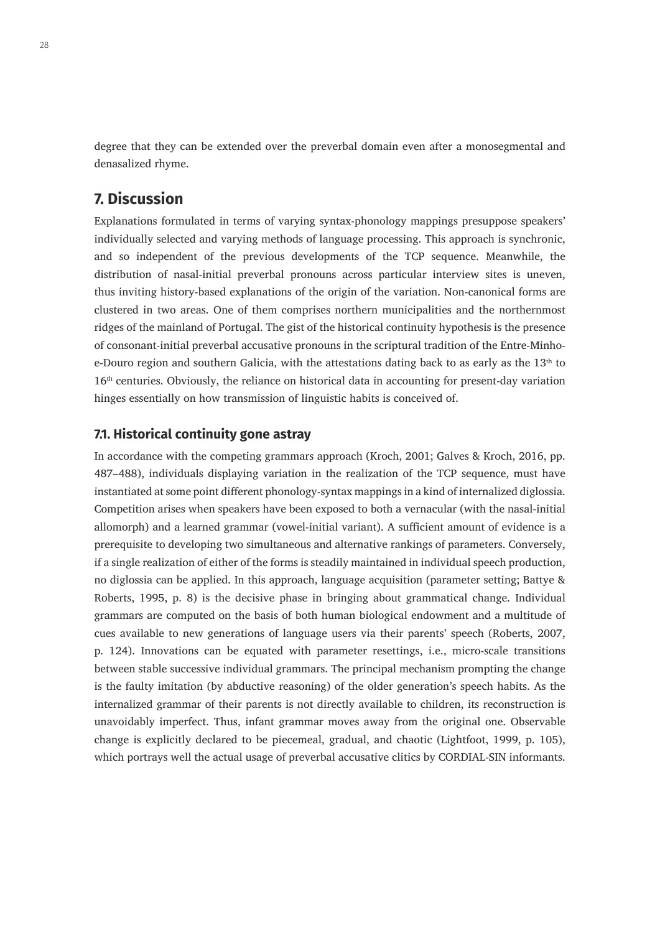degree that they can be extended over the preverbal domain even after a monosegmental and denasalized rhyme.

# **7. Discussion**

Explanations formulated in terms of varying syntax-phonology mappings presuppose speakers' individually selected and varying methods of language processing. This approach is synchronic, and so independent of the previous developments of the TCP sequence. Meanwhile, the distribution of nasal-initial preverbal pronouns across particular interview sites is uneven, thus inviting history-based explanations of the origin of the variation. Non-canonical forms are clustered in two areas. One of them comprises northern municipalities and the northernmost ridges of the mainland of Portugal. The gist of the historical continuity hypothesis is the presence of consonant-initial preverbal accusative pronouns in the scriptural tradition of the Entre-Minhoe-Douro region and southern Galicia, with the attestations dating back to as early as the  $13<sup>th</sup>$  to 16<sup>th</sup> centuries. Obviously, the reliance on historical data in accounting for present-day variation hinges essentially on how transmission of linguistic habits is conceived of.

#### **7.1. Historical continuity gone astray**

In accordance with the competing grammars approach (Kroch, 2001; Galves & Kroch, 2016, pp. 487–488), individuals displaying variation in the realization of the TCP sequence, must have instantiated at some point different phonology-syntax mappings in a kind of internalized diglossia. Competition arises when speakers have been exposed to both a vernacular (with the nasal-initial allomorph) and a learned grammar (vowel-initial variant). A sufficient amount of evidence is a prerequisite to developing two simultaneous and alternative rankings of parameters. Conversely, if a single realization of either of the forms is steadily maintained in individual speech production, no diglossia can be applied. In this approach, language acquisition (parameter setting; Battye & Roberts, 1995, p. 8) is the decisive phase in bringing about grammatical change. Individual grammars are computed on the basis of both human biological endowment and a multitude of cues available to new generations of language users via their parents' speech (Roberts, 2007, p. 124). Innovations can be equated with parameter resettings, i.e., micro-scale transitions between stable successive individual grammars. The principal mechanism prompting the change is the faulty imitation (by abductive reasoning) of the older generation's speech habits. As the internalized grammar of their parents is not directly available to children, its reconstruction is unavoidably imperfect. Thus, infant grammar moves away from the original one. Observable change is explicitly declared to be piecemeal, gradual, and chaotic (Lightfoot, 1999, p. 105), which portrays well the actual usage of preverbal accusative clitics by CORDIAL-SIN informants.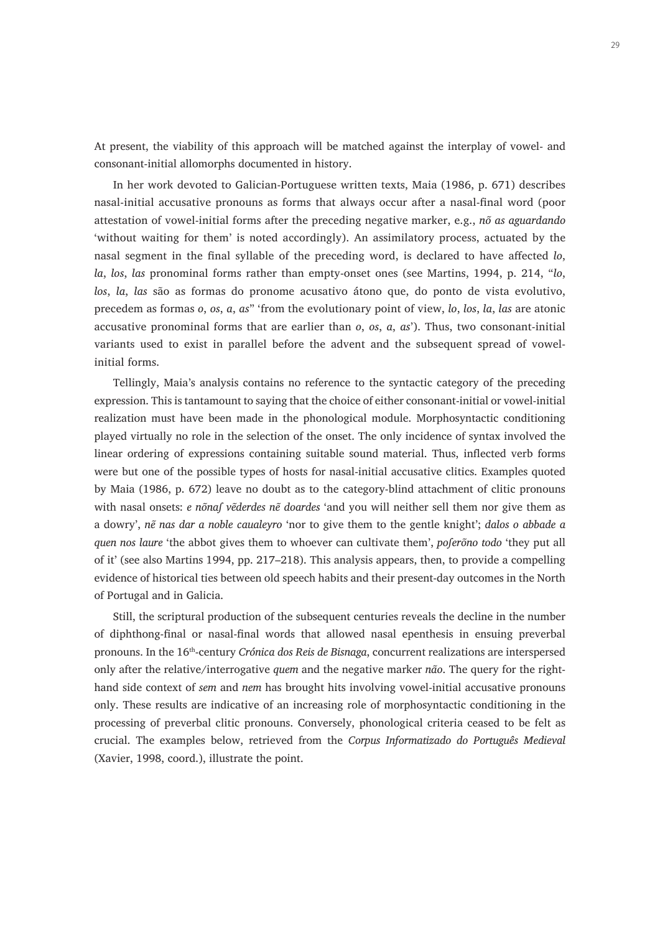At present, the viability of this approach will be matched against the interplay of vowel- and consonant-initial allomorphs documented in history.

In her work devoted to Galician-Portuguese written texts, Maia (1986, p. 671) describes nasal-initial accusative pronouns as forms that always occur after a nasal-final word (poor attestation of vowel-initial forms after the preceding negative marker, e.g., *nõ as aguardando* 'without waiting for them' is noted accordingly). An assimilatory process, actuated by the nasal segment in the final syllable of the preceding word, is declared to have affected *lo*, *la*, *los*, *las* pronominal forms rather than empty-onset ones (see Martins, 1994, p. 214, "*lo*, *los*, *la*, *las* são as formas do pronome acusativo átono que, do ponto de vista evolutivo, precedem as formas *o*, *os*, *a*, *as*" 'from the evolutionary point of view, *lo*, *los*, *la*, *las* are atonic accusative pronominal forms that are earlier than *o*, *os*, *a*, *as*'). Thus, two consonant-initial variants used to exist in parallel before the advent and the subsequent spread of vowelinitial forms.

Tellingly, Maia's analysis contains no reference to the syntactic category of the preceding expression. This is tantamount to saying that the choice of either consonant-initial or vowel-initial realization must have been made in the phonological module. Morphosyntactic conditioning played virtually no role in the selection of the onset. The only incidence of syntax involved the linear ordering of expressions containing suitable sound material. Thus, inflected verb forms were but one of the possible types of hosts for nasal-initial accusative clitics. Examples quoted by Maia (1986, p. 672) leave no doubt as to the category-blind attachment of clitic pronouns with nasal onsets: *e nõnaſ vẽderdes nẽ doardes* 'and you will neither sell them nor give them as a dowry', *nẽ nas dar a noble caualeyro* 'nor to give them to the gentle knight'; *dalos o abbade a quen nos laure* 'the abbot gives them to whoever can cultivate them', *poferõno todo* 'they put all of it' (see also Martins 1994, pp. 217–218). This analysis appears, then, to provide a compelling evidence of historical ties between old speech habits and their present-day outcomes in the North of Portugal and in Galicia.

Still, the scriptural production of the subsequent centuries reveals the decline in the number of diphthong-final or nasal-final words that allowed nasal epenthesis in ensuing preverbal pronouns. In the 16<sup>th</sup>-century *Crónica dos Reis de Bisnaga*, concurrent realizations are interspersed only after the relative/interrogative *quem* and the negative marker *não*. The query for the righthand side context of *sem* and *nem* has brought hits involving vowel-initial accusative pronouns only. These results are indicative of an increasing role of morphosyntactic conditioning in the processing of preverbal clitic pronouns. Conversely, phonological criteria ceased to be felt as crucial. The examples below, retrieved from the *Corpus Informatizado do Português Medieval*  (Xavier, 1998, coord.), illustrate the point.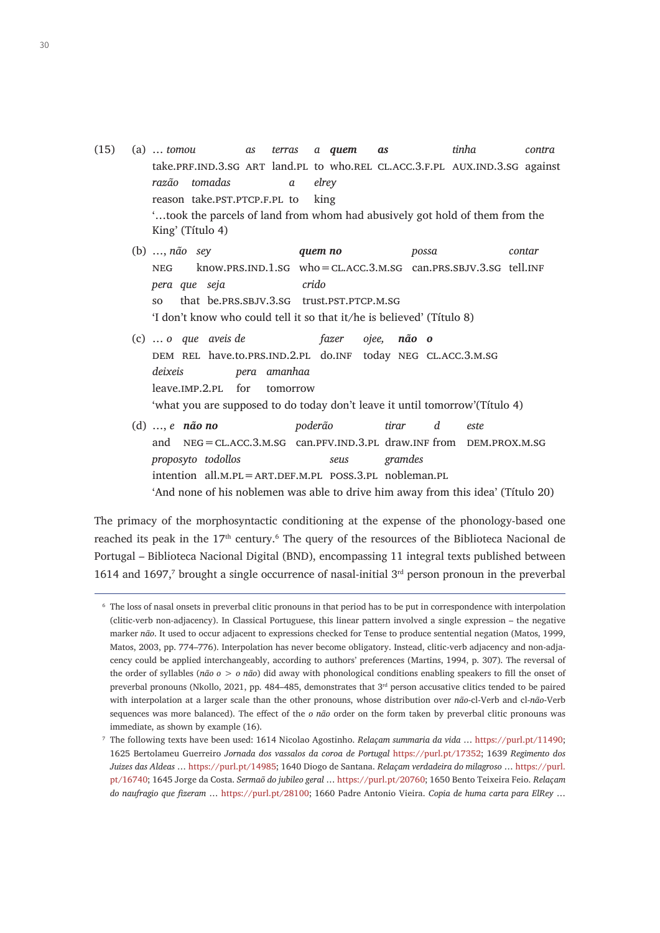- (15) (a) … *tomou as terras a quem as tinha contra* take.prf.ind.3.sg art land.pl to who.rel cl.acc.3.f.pl aux.ind.3.sg against *razão tomadas a elrey* reason take.pst.ptcp.f.pl to king '…took the parcels of land from whom had abusively got hold of them from the King' (Título 4)
	- (b) …, *não sey quem no possa contar* neg know.prs.ind.1.sg who=cl.acc.3.m.sg can.prs.sbjv.3.sg tell.inf *pera que seja crido* so that be.prs.sbjv.3.sg trust.pst.ptcp.m.sg 'I don't know who could tell it so that it/he is believed' (Título 8)
	- (c) … *o que aveis de fazer ojee, não o* dem rel have.to.prs.ind.2.pl do.inf today neg cl.acc.3.m.sg *deixeis pera amanhaa* leave.imp.2.pl for tomorrow 'what you are supposed to do today don't leave it until tomorrow'(Título 4)
	- (d) …, *e não no poderão tirar d este* and NEG = CL.ACC.3.M.SG can.PFV.IND.3.PL draw.INF from DEM.PROX.M.SG *proposyto todollos seus gramdes* intention  $all.M.PL = ART.DEF.M.PL$  poss.3.pl nobleman.pl 'And none of his noblemen was able to drive him away from this idea' (Título 20)

The primacy of the morphosyntactic conditioning at the expense of the phonology-based one reached its peak in the 17<sup>th</sup> century.<sup>6</sup> The query of the resources of the Biblioteca Nacional de Portugal – Biblioteca Nacional Digital (BND), encompassing 11 integral texts published between 1614 and 1697,<sup>7</sup> brought a single occurrence of nasal-initial  $3<sup>rd</sup>$  person pronoun in the preverbal

<sup>6</sup> The loss of nasal onsets in preverbal clitic pronouns in that period has to be put in correspondence with interpolation (clitic-verb non-adjacency). In Classical Portuguese, this linear pattern involved a single expression – the negative marker *não*. It used to occur adjacent to expressions checked for Tense to produce sentential negation (Matos, 1999, Matos, 2003, pp. 774–776). Interpolation has never become obligatory. Instead, clitic-verb adjacency and non-adjacency could be applied interchangeably, according to authors' preferences (Martins, 1994, p. 307). The reversal of the order of syllables (*não o* > *o não*) did away with phonological conditions enabling speakers to fill the onset of preverbal pronouns (Nkollo, 2021, pp. 484–485, demonstrates that  $3<sup>rd</sup>$  person accusative clitics tended to be paired with interpolation at a larger scale than the other pronouns, whose distribution over *não*-cl-Verb and cl-*não*-Verb sequences was more balanced). The effect of the *o não* order on the form taken by preverbal clitic pronouns was immediate, as shown by example (16).

<sup>7</sup> The following texts have been used: 1614 Nicolao Agostinho. *Relaçam summaria da vida* … [https://purl.pt/11490;](https://purl.pt/11490) 1625 Bertolameu Guerreiro *Jornada dos vassalos da coroa de Portugal* <https://purl.pt/17352>; 1639 *Regimento dos Juizes das Aldeas* …<https://purl.pt/14985>; 1640 Diogo de Santana. *Relaçam verdadeira do milagroso* … [https://purl.](https://purl.pt/16740) [pt/16740](https://purl.pt/16740); 1645 Jorge da Costa. *Sermaõ do jubileo geral* … [https://purl.pt/20760;](https://purl.pt/20760) 1650 Bento Teixeira Feio. *Relaçam do naufragio que fizeram* … [https://purl.pt/28100;](https://purl.pt/28100) 1660 Padre Antonio Vieira. *Copia de huma carta para ElRey* …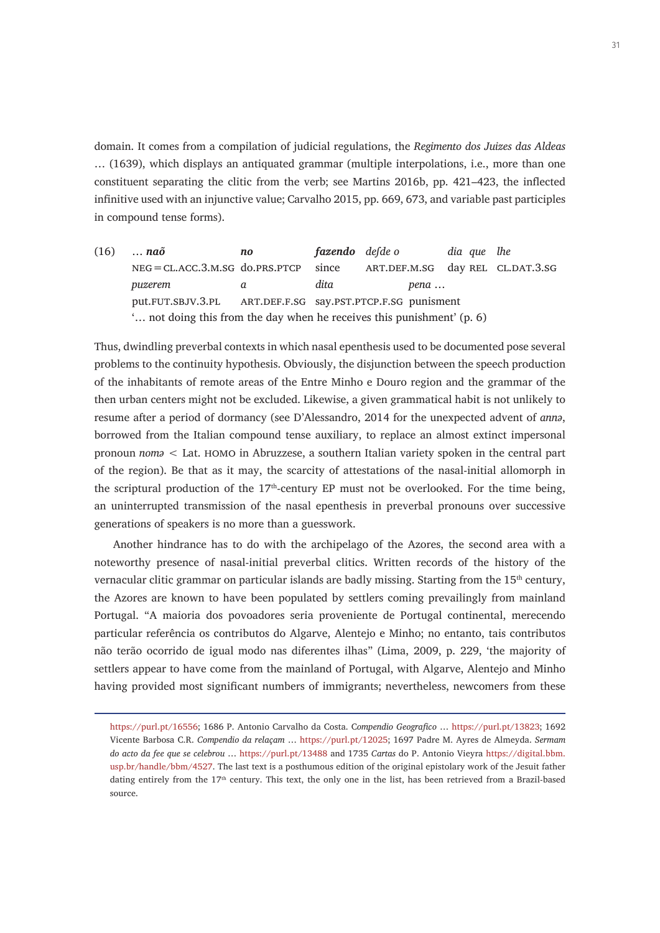domain. It comes from a compilation of judicial regulations, the *Regimento dos Juizes das Aldeas* … (1639), which displays an antiquated grammar (multiple interpolations, i.e., more than one constituent separating the clitic from the verb; see Martins 2016b, pp. 421–423, the inflected infinitive used with an injunctive value; Carvalho 2015, pp. 669, 673, and variable past participles in compound tense forms).

(16) … *naõ no fazendo deſde o dia que lhe* neg=cl.acc.3.m.sg do.prs.ptcp since art.def.m.sg day rel cl.dat.3.sg *puzerem a dita pena* … put.fut.sbjv.3.pl art.def.f.sg say.pst.ptcp.f.sg punisment '… not doing this from the day when he receives this punishment' (p. 6)

Thus, dwindling preverbal contexts in which nasal epenthesis used to be documented pose several problems to the continuity hypothesis. Obviously, the disjunction between the speech production of the inhabitants of remote areas of the Entre Minho e Douro region and the grammar of the then urban centers might not be excluded. Likewise, a given grammatical habit is not unlikely to resume after a period of dormancy (see D'Alessandro, 2014 for the unexpected advent of *annə*, borrowed from the Italian compound tense auxiliary, to replace an almost extinct impersonal pronoun *nomə* < Lat. homo in Abruzzese, a southern Italian variety spoken in the central part of the region). Be that as it may, the scarcity of attestations of the nasal-initial allomorph in the scriptural production of the  $17<sup>th</sup>$ -century EP must not be overlooked. For the time being, an uninterrupted transmission of the nasal epenthesis in preverbal pronouns over successive generations of speakers is no more than a guesswork.

Another hindrance has to do with the archipelago of the Azores, the second area with a noteworthy presence of nasal-initial preverbal clitics. Written records of the history of the vernacular clitic grammar on particular islands are badly missing. Starting from the 15<sup>th</sup> century, the Azores are known to have been populated by settlers coming prevailingly from mainland Portugal. "A maioria dos povoadores seria proveniente de Portugal continental, merecendo particular referência os contributos do Algarve, Alentejo e Minho; no entanto, tais contributos não terão ocorrido de igual modo nas diferentes ilhas" (Lima, 2009, p. 229, 'the majority of settlers appear to have come from the mainland of Portugal, with Algarve, Alentejo and Minho having provided most significant numbers of immigrants; nevertheless, newcomers from these

[https://purl.pt/16556;](https://purl.pt/16556) 1686 P. Antonio Carvalho da Costa. C*ompendio Geografico* … [https://purl.pt/13823;](https://purl.pt/13823) 1692 Vicente Barbosa C.R. *Compendio da relaçam* … [https://purl.pt/12025;](https://purl.pt/12025) 1697 Padre M. Ayres de Almeyda. *Sermam do acto da fee que se celebrou* … <https://purl.pt/13488>and 1735 *Cartas* do P. Antonio Vieyra https://digital.bbm. usp.br/handle/bbm/4527. The last text is a posthumous edition of the original epistolary work of the Jesuit father dating entirely from the 17<sup>th</sup> century. This text, the only one in the list, has been retrieved from a Brazil-based source.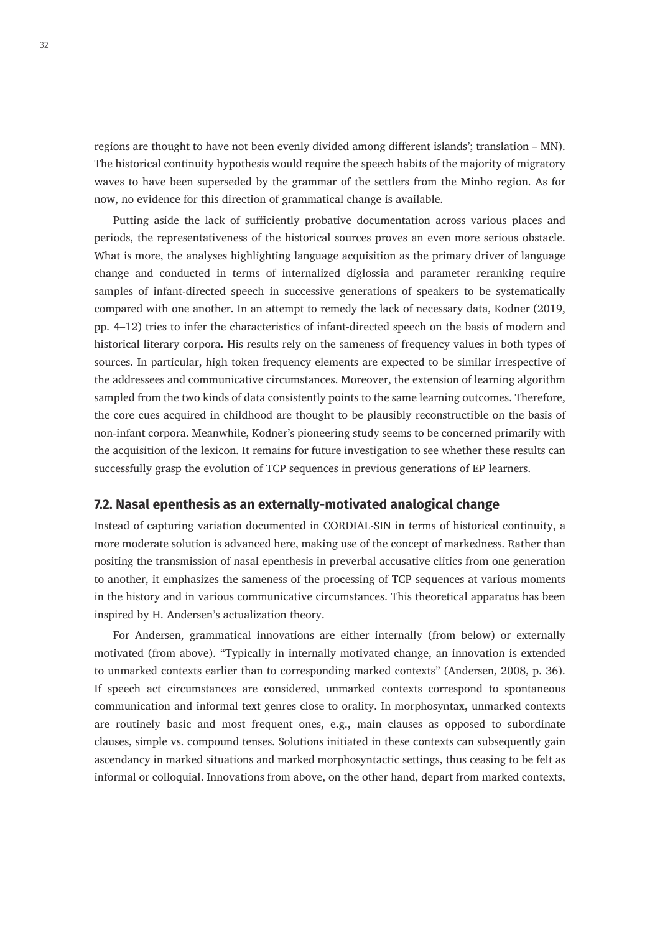regions are thought to have not been evenly divided among different islands'; translation – MN). The historical continuity hypothesis would require the speech habits of the majority of migratory waves to have been superseded by the grammar of the settlers from the Minho region. As for now, no evidence for this direction of grammatical change is available.

Putting aside the lack of sufficiently probative documentation across various places and periods, the representativeness of the historical sources proves an even more serious obstacle. What is more, the analyses highlighting language acquisition as the primary driver of language change and conducted in terms of internalized diglossia and parameter reranking require samples of infant-directed speech in successive generations of speakers to be systematically compared with one another. In an attempt to remedy the lack of necessary data, Kodner (2019, pp. 4–12) tries to infer the characteristics of infant-directed speech on the basis of modern and historical literary corpora. His results rely on the sameness of frequency values in both types of sources. In particular, high token frequency elements are expected to be similar irrespective of the addressees and communicative circumstances. Moreover, the extension of learning algorithm sampled from the two kinds of data consistently points to the same learning outcomes. Therefore, the core cues acquired in childhood are thought to be plausibly reconstructible on the basis of non-infant corpora. Meanwhile, Kodner's pioneering study seems to be concerned primarily with the acquisition of the lexicon. It remains for future investigation to see whether these results can successfully grasp the evolution of TCP sequences in previous generations of EP learners.

#### **7.2. Nasal epenthesis as an externally-motivated analogical change**

Instead of capturing variation documented in CORDIAL-SIN in terms of historical continuity, a more moderate solution is advanced here, making use of the concept of markedness. Rather than positing the transmission of nasal epenthesis in preverbal accusative clitics from one generation to another, it emphasizes the sameness of the processing of TCP sequences at various moments in the history and in various communicative circumstances. This theoretical apparatus has been inspired by H. Andersen's actualization theory.

For Andersen, grammatical innovations are either internally (from below) or externally motivated (from above). "Typically in internally motivated change, an innovation is extended to unmarked contexts earlier than to corresponding marked contexts" (Andersen, 2008, p. 36). If speech act circumstances are considered, unmarked contexts correspond to spontaneous communication and informal text genres close to orality. In morphosyntax, unmarked contexts are routinely basic and most frequent ones, e.g., main clauses as opposed to subordinate clauses, simple vs. compound tenses. Solutions initiated in these contexts can subsequently gain ascendancy in marked situations and marked morphosyntactic settings, thus ceasing to be felt as informal or colloquial. Innovations from above, on the other hand, depart from marked contexts,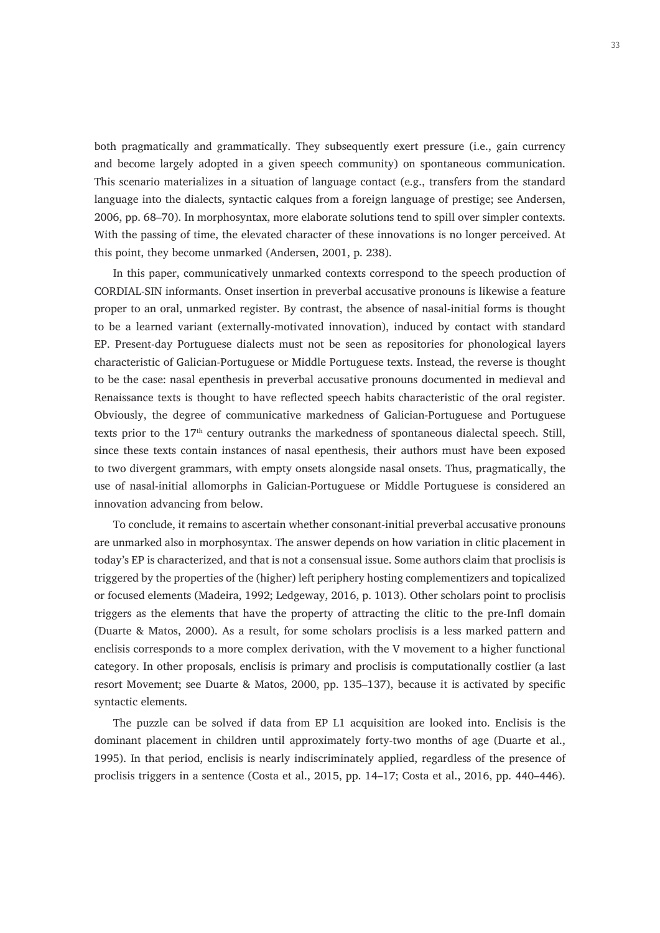both pragmatically and grammatically. They subsequently exert pressure (i.e., gain currency and become largely adopted in a given speech community) on spontaneous communication. This scenario materializes in a situation of language contact (e.g., transfers from the standard language into the dialects, syntactic calques from a foreign language of prestige; see Andersen, 2006, pp. 68–70). In morphosyntax, more elaborate solutions tend to spill over simpler contexts. With the passing of time, the elevated character of these innovations is no longer perceived. At this point, they become unmarked (Andersen, 2001, p. 238).

In this paper, communicatively unmarked contexts correspond to the speech production of CORDIAL-SIN informants. Onset insertion in preverbal accusative pronouns is likewise a feature proper to an oral, unmarked register. By contrast, the absence of nasal-initial forms is thought to be a learned variant (externally-motivated innovation), induced by contact with standard EP. Present-day Portuguese dialects must not be seen as repositories for phonological layers characteristic of Galician-Portuguese or Middle Portuguese texts. Instead, the reverse is thought to be the case: nasal epenthesis in preverbal accusative pronouns documented in medieval and Renaissance texts is thought to have reflected speech habits characteristic of the oral register. Obviously, the degree of communicative markedness of Galician-Portuguese and Portuguese texts prior to the 17th century outranks the markedness of spontaneous dialectal speech. Still, since these texts contain instances of nasal epenthesis, their authors must have been exposed to two divergent grammars, with empty onsets alongside nasal onsets. Thus, pragmatically, the use of nasal-initial allomorphs in Galician-Portuguese or Middle Portuguese is considered an innovation advancing from below.

To conclude, it remains to ascertain whether consonant-initial preverbal accusative pronouns are unmarked also in morphosyntax. The answer depends on how variation in clitic placement in today's EP is characterized, and that is not a consensual issue. Some authors claim that proclisis is triggered by the properties of the (higher) left periphery hosting complementizers and topicalized or focused elements (Madeira, 1992; Ledgeway, 2016, p. 1013). Other scholars point to proclisis triggers as the elements that have the property of attracting the clitic to the pre-Infl domain (Duarte & Matos, 2000). As a result, for some scholars proclisis is a less marked pattern and enclisis corresponds to a more complex derivation, with the V movement to a higher functional category. In other proposals, enclisis is primary and proclisis is computationally costlier (a last resort Movement; see Duarte & Matos, 2000, pp. 135–137), because it is activated by specific syntactic elements.

The puzzle can be solved if data from EP L1 acquisition are looked into. Enclisis is the dominant placement in children until approximately forty-two months of age (Duarte et al., 1995). In that period, enclisis is nearly indiscriminately applied, regardless of the presence of proclisis triggers in a sentence (Costa et al., 2015, pp. 14–17; Costa et al., 2016, pp. 440–446).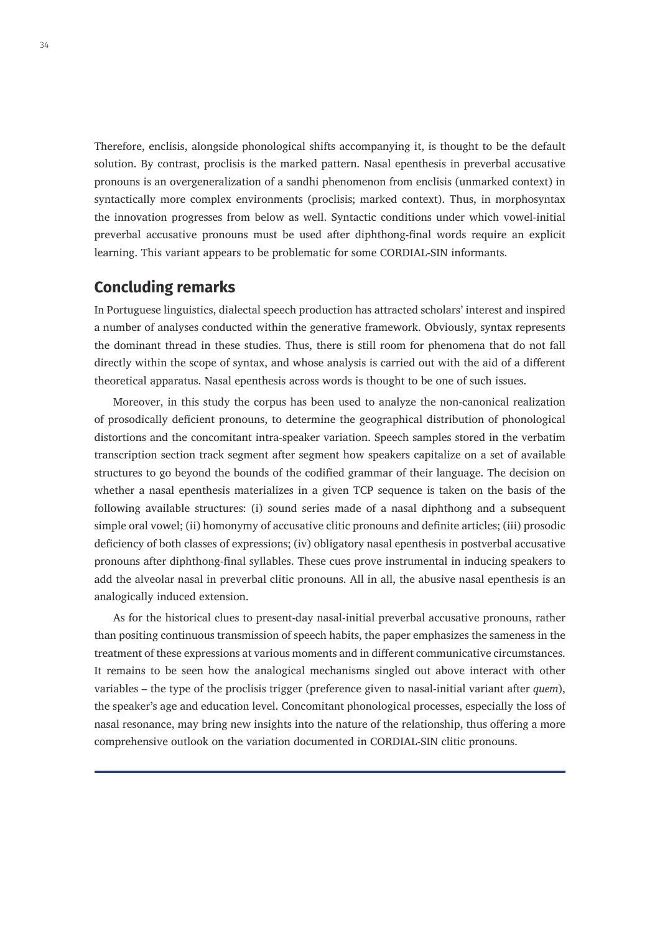Therefore, enclisis, alongside phonological shifts accompanying it, is thought to be the default solution. By contrast, proclisis is the marked pattern. Nasal epenthesis in preverbal accusative pronouns is an overgeneralization of a sandhi phenomenon from enclisis (unmarked context) in syntactically more complex environments (proclisis; marked context). Thus, in morphosyntax the innovation progresses from below as well. Syntactic conditions under which vowel-initial preverbal accusative pronouns must be used after diphthong-final words require an explicit learning. This variant appears to be problematic for some CORDIAL-SIN informants.

# **Concluding remarks**

In Portuguese linguistics, dialectal speech production has attracted scholars' interest and inspired a number of analyses conducted within the generative framework. Obviously, syntax represents the dominant thread in these studies. Thus, there is still room for phenomena that do not fall directly within the scope of syntax, and whose analysis is carried out with the aid of a different theoretical apparatus. Nasal epenthesis across words is thought to be one of such issues.

Moreover, in this study the corpus has been used to analyze the non-canonical realization of prosodically deficient pronouns, to determine the geographical distribution of phonological distortions and the concomitant intra-speaker variation. Speech samples stored in the verbatim transcription section track segment after segment how speakers capitalize on a set of available structures to go beyond the bounds of the codified grammar of their language. The decision on whether a nasal epenthesis materializes in a given TCP sequence is taken on the basis of the following available structures: (i) sound series made of a nasal diphthong and a subsequent simple oral vowel; (ii) homonymy of accusative clitic pronouns and definite articles; (iii) prosodic deficiency of both classes of expressions; (iv) obligatory nasal epenthesis in postverbal accusative pronouns after diphthong-final syllables. These cues prove instrumental in inducing speakers to add the alveolar nasal in preverbal clitic pronouns. All in all, the abusive nasal epenthesis is an analogically induced extension.

As for the historical clues to present-day nasal-initial preverbal accusative pronouns, rather than positing continuous transmission of speech habits, the paper emphasizes the sameness in the treatment of these expressions at various moments and in different communicative circumstances. It remains to be seen how the analogical mechanisms singled out above interact with other variables – the type of the proclisis trigger (preference given to nasal-initial variant after *quem*), the speaker's age and education level. Concomitant phonological processes, especially the loss of nasal resonance, may bring new insights into the nature of the relationship, thus offering a more comprehensive outlook on the variation documented in CORDIAL-SIN clitic pronouns.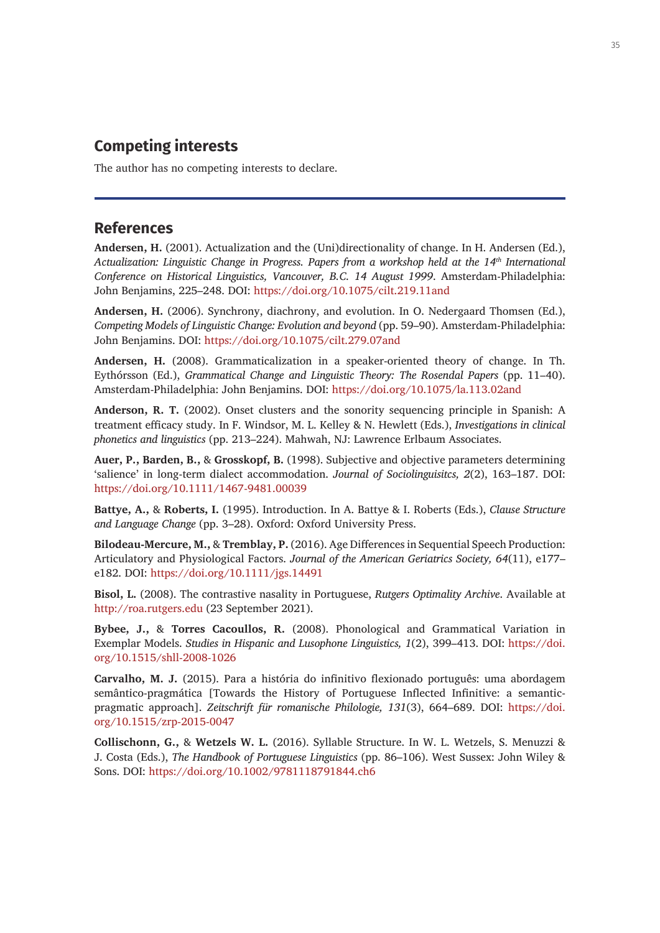# **Competing interests**

The author has no competing interests to declare.

#### **References**

**Andersen, H.** (2001). Actualization and the (Uni)directionality of change. In H. Andersen (Ed.), *Actualization: Linguistic Change in Progress. Papers from a workshop held at the 14th International Conference on Historical Linguistics, Vancouver, B.C. 14 August 1999*. Amsterdam-Philadelphia: John Benjamins, 225–248. DOI: <https://doi.org/10.1075/cilt.219.11and>

**Andersen, H.** (2006). Synchrony, diachrony, and evolution. In O. Nedergaard Thomsen (Ed.), *Competing Models of Linguistic Change: Evolution and beyond* (pp. 59–90). Amsterdam-Philadelphia: John Benjamins. DOI: <https://doi.org/10.1075/cilt.279.07and>

**Andersen, H.** (2008). Grammaticalization in a speaker-oriented theory of change. In Th. Eythórsson (Ed.), *Grammatical Change and Linguistic Theory: The Rosendal Papers* (pp. 11–40). Amsterdam-Philadelphia: John Benjamins. DOI: <https://doi.org/10.1075/la.113.02and>

**Anderson, R. T.** (2002). Onset clusters and the sonority sequencing principle in Spanish: A treatment efficacy study. In F. Windsor, M. L. Kelley & N. Hewlett (Eds.), *Investigations in clinical phonetics and linguistics* (pp. 213–224). Mahwah, NJ: Lawrence Erlbaum Associates.

**Auer, P., Barden, B.,** & **Grosskopf, B.** (1998). Subjective and objective parameters determining 'salience' in long-term dialect accommodation. *Journal of Sociolinguisitcs, 2*(2), 163–187. DOI: <https://doi.org/10.1111/1467-9481.00039>

**Battye, A.,** & **Roberts, I.** (1995). Introduction. In A. Battye & I. Roberts (Eds.), *Clause Structure and Language Change* (pp. 3–28). Oxford: Oxford University Press.

**Bilodeau-Mercure, M.,** & **Tremblay, P.** (2016). Age Differences in Sequential Speech Production: Articulatory and Physiological Factors. *Journal of the American Geriatrics Society, 64*(11), e177– e182. DOI: <https://doi.org/10.1111/jgs.14491>

**Bisol, L.** (2008). The contrastive nasality in Portuguese, *Rutgers Optimality Archive*. Available at <http://roa.rutgers.edu> (23 September 2021).

**Bybee, J.,** & **Torres Cacoullos, R.** (2008). Phonological and Grammatical Variation in Exemplar Models. *Studies in Hispanic and Lusophone Linguistics, 1*(2), 399–413. DOI: [https://doi.](https://doi.org/10.1515/shll-2008-1026) [org/10.1515/shll-2008-1026](https://doi.org/10.1515/shll-2008-1026)

**Carvalho, M. J.** (2015). Para a história do infinitivo flexionado português: uma abordagem semântico-pragmática [Towards the History of Portuguese Inflected Infinitive: a semanticpragmatic approach]. *Zeitschrift für romanische Philologie, 131*(3), 664–689. DOI: [https://doi.](https://doi.org/10.1515/zrp-2015-0047) [org/10.1515/zrp-2015-0047](https://doi.org/10.1515/zrp-2015-0047)

**Collischonn, G.,** & **Wetzels W. L.** (2016). Syllable Structure. In W. L. Wetzels, S. Menuzzi & J. Costa (Eds.), *The Handbook of Portuguese Linguistics* (pp. 86–106). West Sussex: John Wiley & Sons. DOI:<https://doi.org/10.1002/9781118791844.ch6>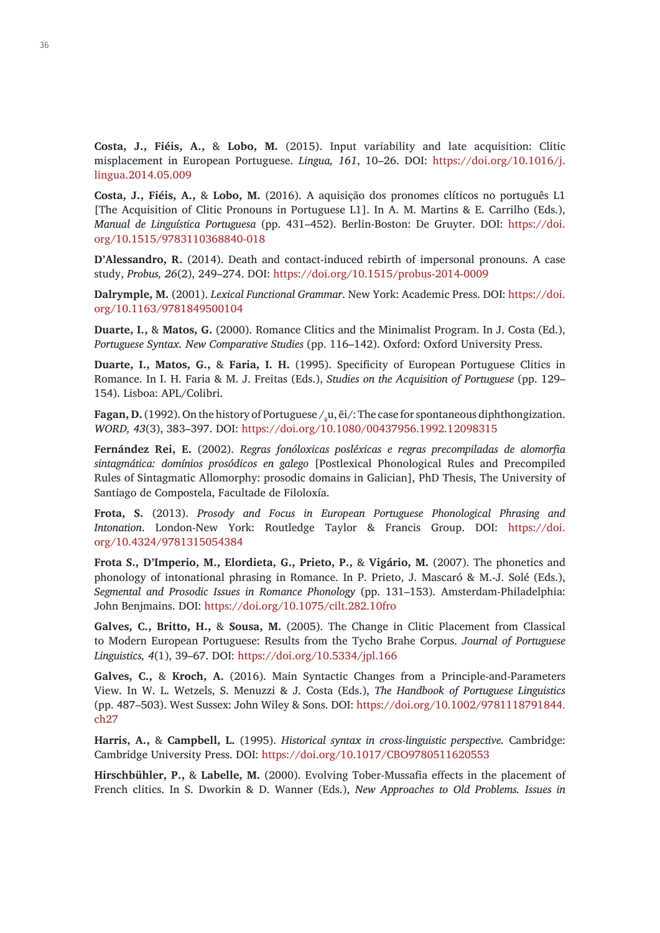**Costa, J., Fiéis, A.,** & **Lobo, M.** (2015). Input variability and late acquisition: Clitic misplacement in European Portuguese. *Lingua, 161*, 10–26. DOI: [https://doi.org/10.1016/j.](https://doi.org/10.1016/j.lingua.2014.05.009) [lingua.2014.05.009](https://doi.org/10.1016/j.lingua.2014.05.009)

**Costa, J., Fiéis, A.,** & **Lobo, M.** (2016). A aquisição dos pronomes clíticos no português L1 [The Acquisition of Clitic Pronouns in Portuguese L1]. In A. M. Martins & E. Carrilho (Eds.), *Manual de Linguística Portuguesa* (pp. 431–452). Berlin-Boston: De Gruyter. DOI: [https://doi.](https://doi.org/10.1515/9783110368840-018) [org/10.1515/9783110368840-018](https://doi.org/10.1515/9783110368840-018)

**D'Alessandro, R.** (2014). Death and contact-induced rebirth of impersonal pronouns. A case study, *Probus, 26*(2), 249–274. DOI: <https://doi.org/10.1515/probus-2014-0009>

**Dalrymple, M.** (2001). *Lexical Functional Grammar*. New York: Academic Press. DOI: [https://doi.](https://doi.org/10.1163/9781849500104) [org/10.1163/9781849500104](https://doi.org/10.1163/9781849500104)

**Duarte, I.,** & **Matos, G.** (2000). Romance Clitics and the Minimalist Program. In J. Costa (Ed.), *Portuguese Syntax. New Comparative Studies* (pp. 116–142). Oxford: Oxford University Press.

**Duarte, I., Matos, G.,** & **Faria, I. H.** (1995). Specificity of European Portuguese Clitics in Romance. In I. H. Faria & M. J. Freitas (Eds.), *Studies on the Acquisition of Portuguese* (pp. 129– 154). Lisboa: APL/Colibri.

Fagan, D. (1992). On the history of Portuguese /<sub>a</sub>u,  $\bar{e}i$ /: The case for spontaneous diphthongization. *WORD, 43*(3), 383–397. DOI:<https://doi.org/10.1080/00437956.1992.12098315>

**Fernández Rei, E.** (2002). *Regras fonóloxicas posléxicas e regras precompiladas de alomorfia sintagmática: domínios prosódicos en galego* [Postlexical Phonological Rules and Precompiled Rules of Sintagmatic Allomorphy: prosodic domains in Galician], PhD Thesis, The University of Santiago de Compostela, Facultade de Filoloxía.

**Frota, S.** (2013). *Prosody and Focus in European Portuguese Phonological Phrasing and Intonation*. London-New York: Routledge Taylor & Francis Group. DOI: [https://doi.](https://doi.org/10.4324/9781315054384) [org/10.4324/9781315054384](https://doi.org/10.4324/9781315054384)

**Frota S., D'Imperio, M., Elordieta, G., Prieto, P.,** & **Vigário, M.** (2007). The phonetics and phonology of intonational phrasing in Romance. In P. Prieto, J. Mascaró & M.-J. Solé (Eds.), *Segmental and Prosodic Issues in Romance Phonology* (pp. 131–153). Amsterdam-Philadelphia: John Benjmains. DOI: <https://doi.org/10.1075/cilt.282.10fro>

**Galves, C., Britto, H.,** & **Sousa, M.** (2005). The Change in Clitic Placement from Classical to Modern European Portuguese: Results from the Tycho Brahe Corpus. *Journal of Portuguese Linguistics, 4*(1), 39–67. DOI: <https://doi.org/10.5334/jpl.166>

**Galves, C.,** & **Kroch, A.** (2016). Main Syntactic Changes from a Principle‐and‐Parameters View. In W. L. Wetzels, S. Menuzzi & J. Costa (Eds.), *The Handbook of Portuguese Linguistics*  (pp. 487–503). West Sussex: John Wiley & Sons. DOI: [https://doi.org/10.1002/9781118791844.](https://doi.org/10.1002/9781118791844.ch27) [ch27](https://doi.org/10.1002/9781118791844.ch27)

**Harris, A.,** & **Campbell, L.** (1995). *Historical syntax in cross-linguistic perspective.* Cambridge: Cambridge University Press. DOI:<https://doi.org/10.1017/CBO9780511620553>

**Hirschbühler, P.,** & **Labelle, M.** (2000). Evolving Tober-Mussafia effects in the placement of French clitics. In S. Dworkin & D. Wanner (Eds.), *New Approaches to Old Problems. Issues in*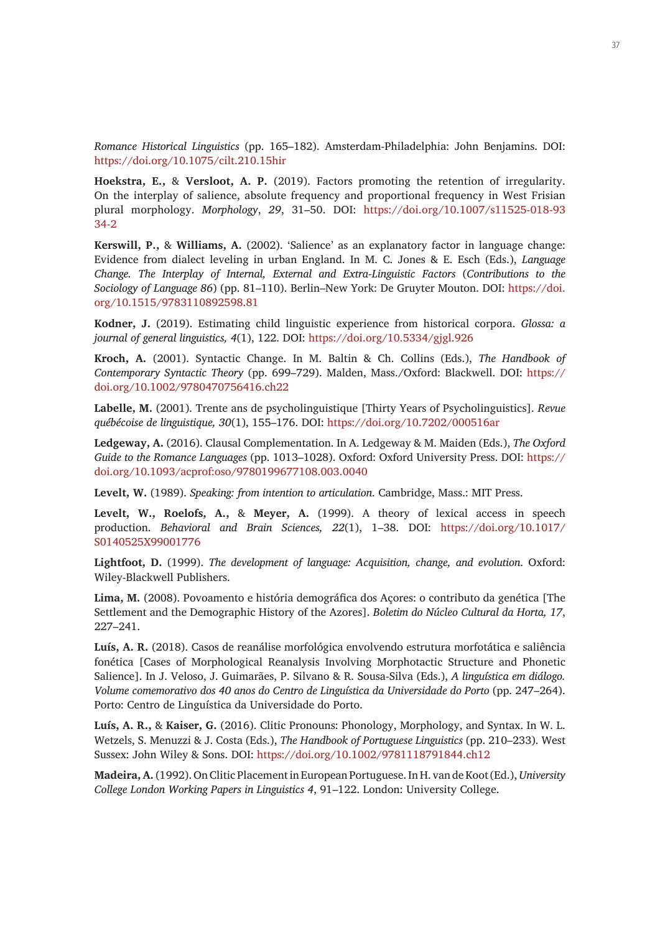*Romance Historical Linguistics* (pp. 165–182). Amsterdam-Philadelphia: John Benjamins. DOI: <https://doi.org/10.1075/cilt.210.15hir>

**Hoekstra, E.,** & **Versloot, A. P.** (2019). Factors promoting the retention of irregularity. On the interplay of salience, absolute frequency and proportional frequency in West Frisian plural morphology. *Morphology*, *29*, 31–50. DOI: [https://doi.org/10.1007/s11525-018-93](https://doi.org/10.1007/s11525-018-9334-2) [34-2](https://doi.org/10.1007/s11525-018-9334-2)

**Kerswill, P.,** & **Williams, A.** (2002). 'Salience' as an explanatory factor in language change: Evidence from dialect leveling in urban England. In M. C. Jones & E. Esch (Eds.), *Language Change. The Interplay of Internal, External and Extra-Linguistic Factors* (*Contributions to the Sociology of Language 86*) (pp. 81–110). Berlin–New York: De Gruyter Mouton. DOI: [https://doi.](https://doi.org/10.1515/9783110892598.81) [org/10.1515/9783110892598.81](https://doi.org/10.1515/9783110892598.81)

**Kodner, J.** (2019). Estimating child linguistic experience from historical corpora. *Glossa: a journal of general linguistics, 4*(1), 122. DOI:<https://doi.org/10.5334/gjgl.926>

**Kroch, A.** (2001). Syntactic Change. In M. Baltin & Ch. Collins (Eds.), *The Handbook of Contemporary Syntactic Theory* (pp. 699–729). Malden, Mass./Oxford: Blackwell. DOI: [https://](https://doi.org/10.1002/9780470756416.ch22) [doi.org/10.1002/9780470756416.ch22](https://doi.org/10.1002/9780470756416.ch22)

**Labelle, M.** (2001). Trente ans de psycholinguistique [Thirty Years of Psycholinguistics]. *Revue québécoise de linguistique, 30*(1), 155–176. DOI:<https://doi.org/10.7202/000516ar>

**Ledgeway, A.** (2016). Clausal Complementation. In A. Ledgeway & M. Maiden (Eds.), *The Oxford Guide to the Romance Languages* (pp. 1013–1028). Oxford: Oxford University Press. DOI: [https://](https://doi.org/10.1093/acprof:oso/9780199677108.003.0040) [doi.org/10.1093/acprof:oso/9780199677108.003.0040](https://doi.org/10.1093/acprof:oso/9780199677108.003.0040)

**Levelt, W.** (1989). *Speaking: from intention to articulation*. Cambridge, Mass.: MIT Press.

**Levelt, W., Roelofs, A.,** & **Meyer, A.** (1999). A theory of lexical access in speech production. *Behavioral and Brain Sciences, 22*(1), 1–38. DOI: [https://doi.org/10.1017/](https://doi.org/10.1017/S0140525X99001776) [S0140525X99001776](https://doi.org/10.1017/S0140525X99001776)

**Lightfoot, D.** (1999). *The development of language: Acquisition, change, and evolution*. Oxford: Wiley-Blackwell Publishers.

**Lima, M.** (2008). Povoamento e história demográfica dos Açores: o contributo da genética [The Settlement and the Demographic History of the Azores]. *Boletim do Núcleo Cultural da Horta, 17*, 227–241.

**Luís, A. R.** (2018). Casos de reanálise morfológica envolvendo estrutura morfotática e saliência fonética [Cases of Morphological Reanalysis Involving Morphotactic Structure and Phonetic Salience]. In J. Veloso, J. Guimarães, P. Silvano & R. Sousa-Silva (Eds.), *A linguística em diálogo. Volume comemorativo dos 40 anos do Centro de Linguística da Universidade do Porto* (pp. 247–264). Porto: Centro de Linguística da Universidade do Porto.

**Luís, A. R.,** & **Kaiser, G.** (2016). Clitic Pronouns: Phonology, Morphology, and Syntax. In W. L. Wetzels, S. Menuzzi & J. Costa (Eds.), *The Handbook of Portuguese Linguistics* (pp. 210–233). West Sussex: John Wiley & Sons. DOI: <https://doi.org/10.1002/9781118791844.ch12>

**Madeira, A.** (1992). On Clitic Placement in European Portuguese. In H. van de Koot (Ed.), *University College London Working Papers in Linguistics 4*, 91–122. London: University College.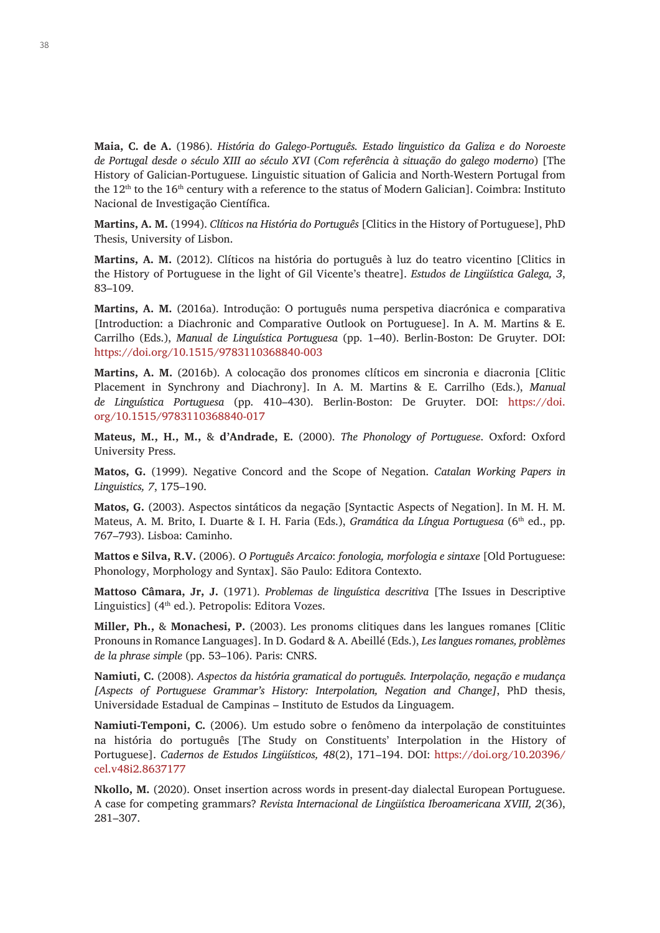**Maia, C. de A.** (1986). *História do Galego-Português. Estado linguistico da Galiza e do Noroeste de Portugal desde o século XIII ao século XVI* (*Com referência à situação do galego moderno*) [The History of Galician-Portuguese. Linguistic situation of Galicia and North-Western Portugal from the  $12<sup>th</sup>$  to the 16<sup>th</sup> century with a reference to the status of Modern Galician]. Coimbra: Instituto Nacional de Investigação Científica.

**Martins, A. M.** (1994). *Clíticos na História do Português* [Clitics in the History of Portuguese], PhD Thesis, University of Lisbon.

**Martins, A. M.** (2012). Clíticos na história do português à luz do teatro vicentino [Clitics in the History of Portuguese in the light of Gil Vicente's theatre]. *Estudos de Lingüística Galega, 3*, 83–109.

**Martins, A. M.** (2016a). Introdução: O português numa perspetiva diacrónica e comparativa [Introduction: a Diachronic and Comparative Outlook on Portuguese]. In A. M. Martins & E. Carrilho (Eds.), *Manual de Linguística Portuguesa* (pp. 1–40). Berlin-Boston: De Gruyter. DOI: <https://doi.org/10.1515/9783110368840-003>

**Martins, A. M.** (2016b). A colocação dos pronomes clíticos em sincronia e diacronia [Clitic Placement in Synchrony and Diachrony]. In A. M. Martins & E. Carrilho (Eds.), *Manual de Linguística Portuguesa* (pp. 410–430). Berlin-Boston: De Gruyter. DOI: [https://doi.](https://doi.org/10.1515/9783110368840-017) [org/10.1515/9783110368840-017](https://doi.org/10.1515/9783110368840-017)

**Mateus, M., H., M.,** & **d'Andrade, E.** (2000). *The Phonology of Portuguese*. Oxford: Oxford University Press.

**Matos, G.** (1999). Negative Concord and the Scope of Negation. *Catalan Working Papers in Linguistics, 7*, 175–190.

**Matos, G.** (2003). Aspectos sintáticos da negação [Syntactic Aspects of Negation]. In M. H. M. Mateus, A. M. Brito, I. Duarte & I. H. Faria (Eds.), *Gramática da Língua Portuguesa* (6<sup>th</sup> ed., pp. 767–793). Lisboa: Caminho.

**Mattos e Silva, R.V.** (2006). *O Português Arcaico*: *fonologia, morfologia e sintaxe* [Old Portuguese: Phonology, Morphology and Syntax]. São Paulo: Editora Contexto.

**Mattoso Câmara, Jr, J.** (1971). *Problemas de linguística descritiva* [The Issues in Descriptive Linguistics]  $(4<sup>th</sup> ed.)$ . Petropolis: Editora Vozes.

**Miller, Ph.,** & **Monachesi, P.** (2003). Les pronoms clitiques dans les langues romanes [Clitic Pronouns in Romance Languages]. In D. Godard & A. Abeillé (Eds.), *Les langues romanes, problèmes de la phrase simple* (pp. 53–106). Paris: CNRS.

**Namiuti, C.** (2008). *Aspectos da história gramatical do português. Interpolação, negação e mudança [Aspects of Portuguese Grammar's History: Interpolation, Negation and Change]*, PhD thesis, Universidade Estadual de Campinas – Instituto de Estudos da Linguagem.

**Namiuti-Temponi, C.** (2006). Um estudo sobre o fenômeno da interpolação de constituintes na história do português [The Study on Constituents' Interpolation in the History of Portuguese]. *Cadernos de Estudos Lingüísticos, 48*(2), 171–194. DOI: [https://doi.org/10.20396/](https://doi.org/10.20396/cel.v48i2.8637177) [cel.v48i2.8637177](https://doi.org/10.20396/cel.v48i2.8637177)

**Nkollo, M.** (2020). Onset insertion across words in present-day dialectal European Portuguese. A case for competing grammars? *Revista Internacional de Lingüística Iberoamericana XVIII, 2*(36), 281–307.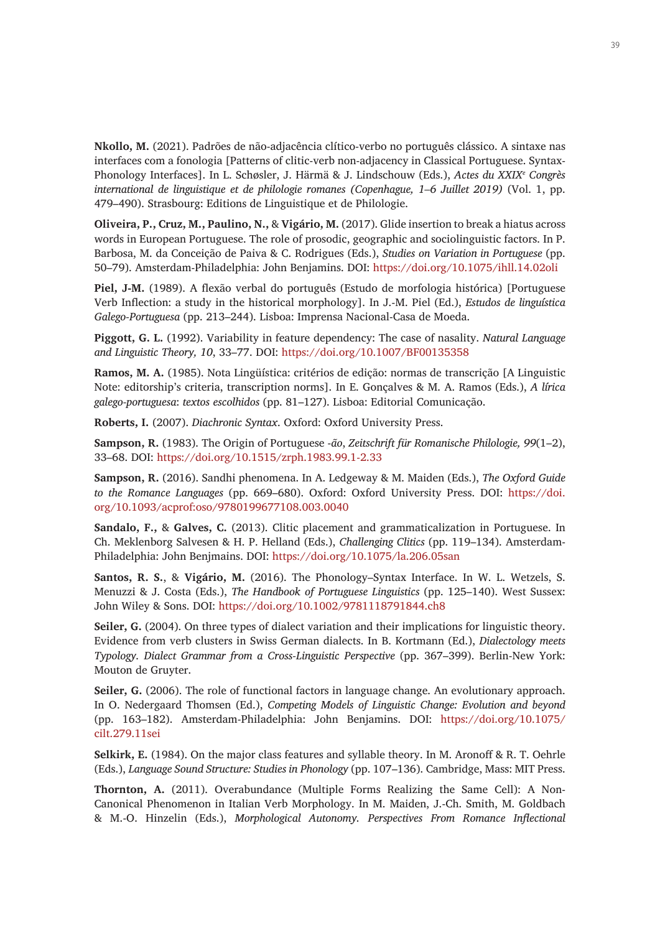**Nkollo, M.** (2021). Padrões de não-adjacência clítico-verbo no português clássico. A sintaxe nas interfaces com a fonologia [Patterns of clitic-verb non-adjacency in Classical Portuguese. Syntax-Phonology Interfaces]. In L. Schøsler, J. Härmä & J. Lindschouw (Eds.), *Actes du XXIXe Congrès international de linguistique et de philologie romanes (Copenhague, 1–6 Juillet 2019)* (Vol. 1, pp. 479–490). Strasbourg: Editions de Linguistique et de Philologie.

**Oliveira, P., Cruz, M., Paulino, N.,** & **Vigário, M.** (2017). Glide insertion to break a hiatus across words in European Portuguese. The role of prosodic, geographic and sociolinguistic factors. In P. Barbosa, M. da Conceição de Paiva & C. Rodrigues (Eds.), *Studies on Variation in Portuguese* (pp. 50–79). Amsterdam-Philadelphia: John Benjamins. DOI: <https://doi.org/10.1075/ihll.14.02oli>

**Piel, J-M.** (1989). A flexão verbal do português (Estudo de morfologia histórica) [Portuguese Verb Inflection: a study in the historical morphology]. In J.-M. Piel (Ed.), *Estudos de linguística Galego-Portuguesa* (pp. 213–244). Lisboa: Imprensa Nacional-Casa de Moeda.

**Piggott, G. L.** (1992). Variability in feature dependency: The case of nasality. *Natural Language and Linguistic Theory, 10*, 33–77. DOI:<https://doi.org/10.1007/BF00135358>

**Ramos, M. A.** (1985). Nota Lingüística: critérios de edição: normas de transcrição [A Linguistic Note: editorship's criteria, transcription norms]. In E. Gonçalves & M. A. Ramos (Eds.), *A lírica galego-portuguesa*: *textos escolhidos* (pp. 81–127). Lisboa: Editorial Comunicação.

**Roberts, I.** (2007). *Diachronic Syntax*. Oxford: Oxford University Press.

**Sampson, R.** (1983). The Origin of Portuguese -*ão*, *Zeitschrift für Romanische Philologie, 99*(1–2), 33–68. DOI: <https://doi.org/10.1515/zrph.1983.99.1-2.33>

**Sampson, R.** (2016). Sandhi phenomena. In A. Ledgeway & M. Maiden (Eds.), *The Oxford Guide to the Romance Languages* (pp. 669–680). Oxford: Oxford University Press. DOI: [https://doi.](https://doi.org/10.1093/acprof:oso/9780199677108.003.0040) [org/10.1093/acprof:oso/9780199677108.003.0040](https://doi.org/10.1093/acprof:oso/9780199677108.003.0040)

**Sandalo, F.,** & **Galves, C.** (2013). Clitic placement and grammaticalization in Portuguese. In Ch. Meklenborg Salvesen & H. P. Helland (Eds.), *Challenging Clitics* (pp. 119–134). Amsterdam-Philadelphia: John Benjmains. DOI: <https://doi.org/10.1075/la.206.05san>

**Santos, R. S.**, & **Vigário, M.** (2016). The Phonology–Syntax Interface. In W. L. Wetzels, S. Menuzzi & J. Costa (Eds.), *The Handbook of Portuguese Linguistics* (pp. 125–140). West Sussex: John Wiley & Sons. DOI: <https://doi.org/10.1002/9781118791844.ch8>

**Seiler, G.** (2004). On three types of dialect variation and their implications for linguistic theory. Evidence from verb clusters in Swiss German dialects. In B. Kortmann (Ed.), *Dialectology meets Typology. Dialect Grammar from a Cross-Linguistic Perspective* (pp. 367–399). Berlin-New York: Mouton de Gruyter.

**Seiler, G.** (2006). The role of functional factors in language change. An evolutionary approach. In O. Nedergaard Thomsen (Ed.), *Competing Models of Linguistic Change: Evolution and beyond*  (pp. 163–182). Amsterdam-Philadelphia: John Benjamins. DOI: [https://doi.org/10.1075/](https://doi.org/10.1075/cilt.279.11sei) [cilt.279.11sei](https://doi.org/10.1075/cilt.279.11sei)

**Selkirk, E.** (1984). On the major class features and syllable theory. In M. Aronoff & R. T. Oehrle (Eds.), *Language Sound Structure: Studies in Phonology* (pp. 107–136). Cambridge, Mass: MIT Press.

**Thornton, A.** (2011). Overabundance (Multiple Forms Realizing the Same Cell): A Non-Canonical Phenomenon in Italian Verb Morphology. In M. Maiden, J.-Ch. Smith, M. Goldbach & M.-O. Hinzelin (Eds.), *Morphological Autonomy. Perspectives From Romance Inflectional*